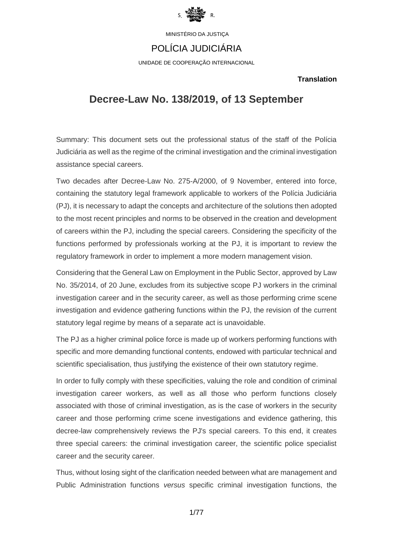

## POLÍCIA JUDICIÁRIA

UNIDADE DE COOPERAÇÃO INTERNACIONAL

### **Translation**

# **Decree-Law No. 138/2019, of 13 September**

Summary: This document sets out the professional status of the staff of the Polícia Judiciária as well as the regime of the criminal investigation and the criminal investigation assistance special careers.

Two decades after Decree-Law No. 275-A/2000, of 9 November, entered into force, containing the statutory legal framework applicable to workers of the Polícia Judiciária (PJ), it is necessary to adapt the concepts and architecture of the solutions then adopted to the most recent principles and norms to be observed in the creation and development of careers within the PJ, including the special careers. Considering the specificity of the functions performed by professionals working at the PJ, it is important to review the regulatory framework in order to implement a more modern management vision.

Considering that the General Law on Employment in the Public Sector, approved by Law No. 35/2014, of 20 June, excludes from its subjective scope PJ workers in the criminal investigation career and in the security career, as well as those performing crime scene investigation and evidence gathering functions within the PJ, the revision of the current statutory legal regime by means of a separate act is unavoidable.

The PJ as a higher criminal police force is made up of workers performing functions with specific and more demanding functional contents, endowed with particular technical and scientific specialisation, thus justifying the existence of their own statutory regime.

In order to fully comply with these specificities, valuing the role and condition of criminal investigation career workers, as well as all those who perform functions closely associated with those of criminal investigation, as is the case of workers in the security career and those performing crime scene investigations and evidence gathering, this decree-law comprehensively reviews the PJ's special careers. To this end, it creates three special careers: the criminal investigation career, the scientific police specialist career and the security career.

Thus, without losing sight of the clarification needed between what are management and Public Administration functions *versus* specific criminal investigation functions, the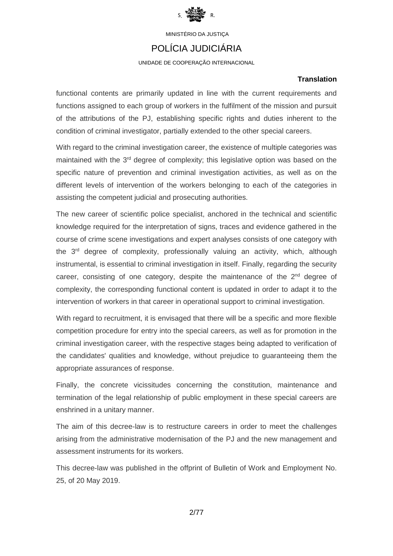

## POLÍCIA JUDICIÁRIA

UNIDADE DE COOPERAÇÃO INTERNACIONAL

### **Translation**

functional contents are primarily updated in line with the current requirements and functions assigned to each group of workers in the fulfilment of the mission and pursuit of the attributions of the PJ, establishing specific rights and duties inherent to the condition of criminal investigator, partially extended to the other special careers.

With regard to the criminal investigation career, the existence of multiple categories was maintained with the 3<sup>rd</sup> degree of complexity; this legislative option was based on the specific nature of prevention and criminal investigation activities, as well as on the different levels of intervention of the workers belonging to each of the categories in assisting the competent judicial and prosecuting authorities.

The new career of scientific police specialist, anchored in the technical and scientific knowledge required for the interpretation of signs, traces and evidence gathered in the course of crime scene investigations and expert analyses consists of one category with the 3<sup>rd</sup> degree of complexity, professionally valuing an activity, which, although instrumental, is essential to criminal investigation in itself. Finally, regarding the security career, consisting of one category, despite the maintenance of the  $2<sup>nd</sup>$  degree of complexity, the corresponding functional content is updated in order to adapt it to the intervention of workers in that career in operational support to criminal investigation.

With regard to recruitment, it is envisaged that there will be a specific and more flexible competition procedure for entry into the special careers, as well as for promotion in the criminal investigation career, with the respective stages being adapted to verification of the candidates' qualities and knowledge, without prejudice to guaranteeing them the appropriate assurances of response.

Finally, the concrete vicissitudes concerning the constitution, maintenance and termination of the legal relationship of public employment in these special careers are enshrined in a unitary manner.

The aim of this decree-law is to restructure careers in order to meet the challenges arising from the administrative modernisation of the PJ and the new management and assessment instruments for its workers.

This decree-law was published in the offprint of Bulletin of Work and Employment No. 25, of 20 May 2019.

2/77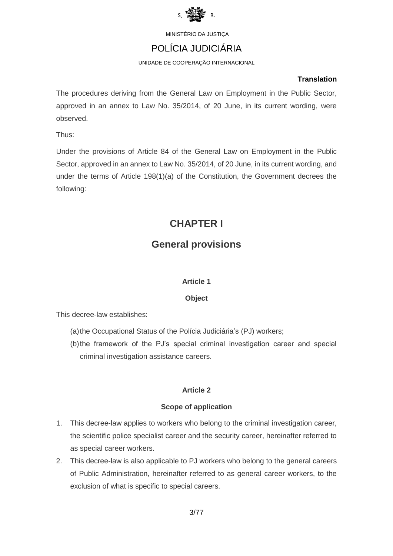

# POLÍCIA JUDICIÁRIA

UNIDADE DE COOPERAÇÃO INTERNACIONAL

### **Translation**

The procedures deriving from the General Law on Employment in the Public Sector, approved in an annex to Law No. 35/2014, of 20 June, in its current wording, were observed.

Thus:

Under the provisions of Article 84 of the General Law on Employment in the Public Sector, approved in an annex to Law No. 35/2014, of 20 June, in its current wording, and under the terms of Article 198(1)(a) of the Constitution, the Government decrees the following:

# **CHAPTER I**

# **General provisions**

## **Article 1**

## **Object**

This decree-law establishes:

- (a)the Occupational Status of the Polícia Judiciária's (PJ) workers;
- (b)the framework of the PJ's special criminal investigation career and special criminal investigation assistance careers.

## **Article 2**

## **Scope of application**

- 1. This decree-law applies to workers who belong to the criminal investigation career, the scientific police specialist career and the security career, hereinafter referred to as special career workers.
- 2. This decree-law is also applicable to PJ workers who belong to the general careers of Public Administration, hereinafter referred to as general career workers, to the exclusion of what is specific to special careers.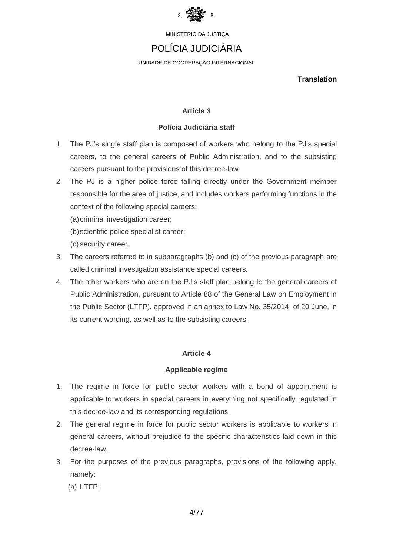

# POLÍCIA JUDICIÁRIA

UNIDADE DE COOPERAÇÃO INTERNACIONAL

**Translation**

## **Article 3**

### **Polícia Judiciária staff**

- 1. The PJ's single staff plan is composed of workers who belong to the PJ's special careers, to the general careers of Public Administration, and to the subsisting careers pursuant to the provisions of this decree-law.
- 2. The PJ is a higher police force falling directly under the Government member responsible for the area of justice, and includes workers performing functions in the context of the following special careers:
	- (a) criminal investigation career;
	- (b)scientific police specialist career;
	- (c) security career.
- 3. The careers referred to in subparagraphs (b) and (c) of the previous paragraph are called criminal investigation assistance special careers.
- 4. The other workers who are on the PJ's staff plan belong to the general careers of Public Administration, pursuant to Article 88 of the General Law on Employment in the Public Sector (LTFP), approved in an annex to Law No. 35/2014, of 20 June, in its current wording, as well as to the subsisting careers.

## **Article 4**

### **Applicable regime**

- 1. The regime in force for public sector workers with a bond of appointment is applicable to workers in special careers in everything not specifically regulated in this decree-law and its corresponding regulations.
- 2. The general regime in force for public sector workers is applicable to workers in general careers, without prejudice to the specific characteristics laid down in this decree-law.
- 3. For the purposes of the previous paragraphs, provisions of the following apply, namely:

(a) LTFP;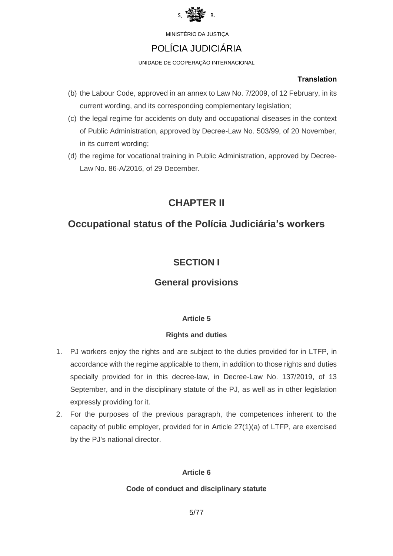

# POLÍCIA JUDICIÁRIA

UNIDADE DE COOPERAÇÃO INTERNACIONAL

### **Translation**

- (b) the Labour Code, approved in an annex to Law No. 7/2009, of 12 February, in its current wording, and its corresponding complementary legislation;
- (c) the legal regime for accidents on duty and occupational diseases in the context of Public Administration, approved by Decree-Law No. 503/99, of 20 November, in its current wording;
- (d) the regime for vocational training in Public Administration, approved by Decree-Law No. 86-A/2016, of 29 December.

# **CHAPTER II**

# **Occupational status of the Polícia Judiciária's workers**

# **SECTION I**

## **General provisions**

## **Article 5**

## **Rights and duties**

- 1. PJ workers enjoy the rights and are subject to the duties provided for in LTFP, in accordance with the regime applicable to them, in addition to those rights and duties specially provided for in this decree-law, in Decree-Law No. 137/2019, of 13 September, and in the disciplinary statute of the PJ, as well as in other legislation expressly providing for it.
- 2. For the purposes of the previous paragraph, the competences inherent to the capacity of public employer, provided for in Article 27(1)(a) of LTFP, are exercised by the PJ's national director.

## **Article 6**

## **Code of conduct and disciplinary statute**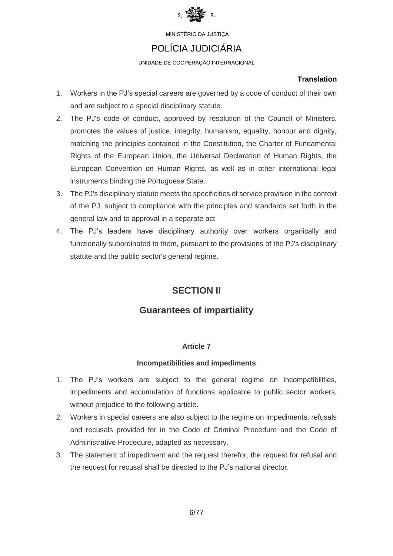

## POLÍCIA JUDICIÁRIA

UNIDADE DE COOPERAÇÃO INTERNACIONAL

### **Translation**

- 1. Workers in the PJ's special careers are governed by a code of conduct of their own and are subject to a special disciplinary statute.
- 2. The PJ's code of conduct, approved by resolution of the Council of Ministers, promotes the values of justice, integrity, humanism, equality, honour and dignity, matching the principles contained in the Constitution, the Charter of Fundamental Rights of the European Union, the Universal Declaration of Human Rights, the European Convention on Human Rights, as well as in other international legal instruments binding the Portuguese State.
- 3. The PJ's disciplinary statute meets the specificities of service provision in the context of the PJ, subject to compliance with the principles and standards set forth in the general law and to approval in a separate act.
- 4. The PJ's leaders have disciplinary authority over workers organically and functionally subordinated to them, pursuant to the provisions of the PJ's disciplinary statute and the public sector's general regime.

# **SECTION II**

# **Guarantees of impartiality**

## **Article 7**

### **Incompatibilities and impediments**

- 1. The PJ's workers are subject to the general regime on incompatibilities, impediments and accumulation of functions applicable to public sector workers, without prejudice to the following article.
- 2. Workers in special careers are also subject to the regime on impediments, refusals and recusals provided for in the Code of Criminal Procedure and the Code of Administrative Procedure, adapted as necessary.
- 3. The statement of impediment and the request therefor, the request for refusal and the request for recusal shall be directed to the PJ's national director.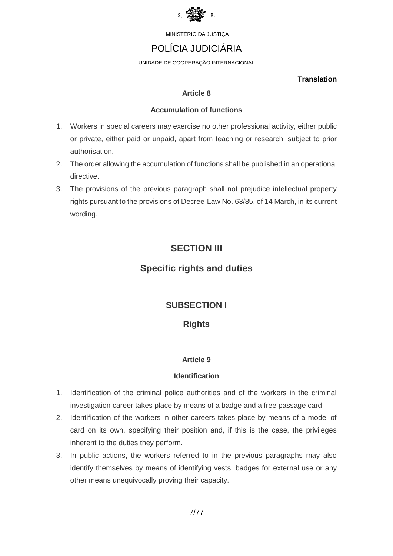

# POLÍCIA JUDICIÁRIA

UNIDADE DE COOPERAÇÃO INTERNACIONAL

### **Translation**

### **Article 8**

### **Accumulation of functions**

- 1. Workers in special careers may exercise no other professional activity, either public or private, either paid or unpaid, apart from teaching or research, subject to prior authorisation.
- 2. The order allowing the accumulation of functions shall be published in an operational directive.
- 3. The provisions of the previous paragraph shall not prejudice intellectual property rights pursuant to the provisions of Decree-Law No. 63/85, of 14 March, in its current wording.

# **SECTION III**

# **Specific rights and duties**

## **SUBSECTION I**

## **Rights**

## **Article 9**

## **Identification**

- 1. Identification of the criminal police authorities and of the workers in the criminal investigation career takes place by means of a badge and a free passage card.
- 2. Identification of the workers in other careers takes place by means of a model of card on its own, specifying their position and, if this is the case, the privileges inherent to the duties they perform.
- 3. In public actions, the workers referred to in the previous paragraphs may also identify themselves by means of identifying vests, badges for external use or any other means unequivocally proving their capacity.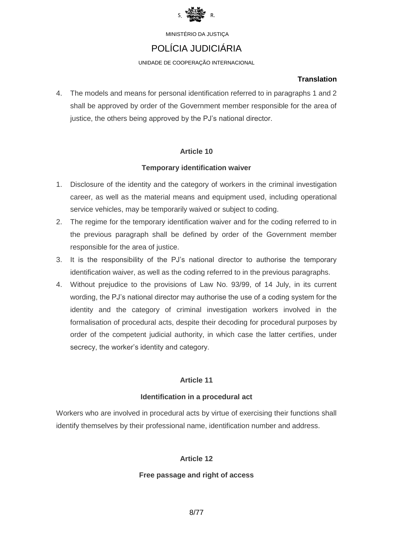

# POLÍCIA JUDICIÁRIA

UNIDADE DE COOPERAÇÃO INTERNACIONAL

### **Translation**

4. The models and means for personal identification referred to in paragraphs 1 and 2 shall be approved by order of the Government member responsible for the area of justice, the others being approved by the PJ's national director.

## **Article 10**

## **Temporary identification waiver**

- 1. Disclosure of the identity and the category of workers in the criminal investigation career, as well as the material means and equipment used, including operational service vehicles, may be temporarily waived or subject to coding.
- 2. The regime for the temporary identification waiver and for the coding referred to in the previous paragraph shall be defined by order of the Government member responsible for the area of justice.
- 3. It is the responsibility of the PJ's national director to authorise the temporary identification waiver, as well as the coding referred to in the previous paragraphs.
- 4. Without prejudice to the provisions of Law No. 93/99, of 14 July, in its current wording, the PJ's national director may authorise the use of a coding system for the identity and the category of criminal investigation workers involved in the formalisation of procedural acts, despite their decoding for procedural purposes by order of the competent judicial authority, in which case the latter certifies, under secrecy, the worker's identity and category.

## **Article 11**

## **Identification in a procedural act**

Workers who are involved in procedural acts by virtue of exercising their functions shall identify themselves by their professional name, identification number and address.

## **Article 12**

## **Free passage and right of access**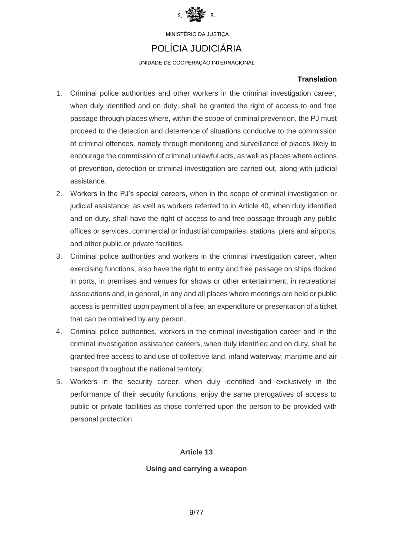

# POLÍCIA JUDICIÁRIA

UNIDADE DE COOPERAÇÃO INTERNACIONAL

## **Translation**

- 1. Criminal police authorities and other workers in the criminal investigation career, when duly identified and on duty, shall be granted the right of access to and free passage through places where, within the scope of criminal prevention, the PJ must proceed to the detection and deterrence of situations conducive to the commission of criminal offences, namely through monitoring and surveillance of places likely to encourage the commission of criminal unlawful acts, as well as places where actions of prevention, detection or criminal investigation are carried out, along with judicial assistance.
- 2. Workers in the PJ's special careers, when in the scope of criminal investigation or judicial assistance, as well as workers referred to in Article 40, when duly identified and on duty, shall have the right of access to and free passage through any public offices or services, commercial or industrial companies, stations, piers and airports, and other public or private facilities.
- 3. Criminal police authorities and workers in the criminal investigation career, when exercising functions, also have the right to entry and free passage on ships docked in ports, in premises and venues for shows or other entertainment, in recreational associations and, in general, in any and all places where meetings are held or public access is permitted upon payment of a fee, an expenditure or presentation of a ticket that can be obtained by any person.
- 4. Criminal police authorities, workers in the criminal investigation career and in the criminal investigation assistance careers, when duly identified and on duty, shall be granted free access to and use of collective land, inland waterway, maritime and air transport throughout the national territory.
- 5. Workers in the security career, when duly identified and exclusively in the performance of their security functions, enjoy the same prerogatives of access to public or private facilities as those conferred upon the person to be provided with personal protection.

## **Article 13**

## **Using and carrying a weapon**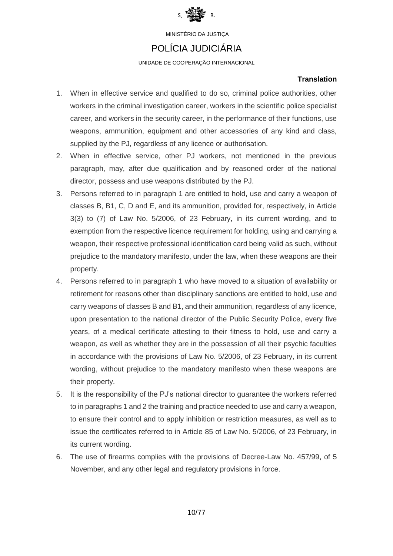

## POLÍCIA JUDICIÁRIA

UNIDADE DE COOPERAÇÃO INTERNACIONAL

## **Translation**

- 1. When in effective service and qualified to do so, criminal police authorities, other workers in the criminal investigation career, workers in the scientific police specialist career, and workers in the security career, in the performance of their functions, use weapons, ammunition, equipment and other accessories of any kind and class, supplied by the PJ, regardless of any licence or authorisation.
- 2. When in effective service, other PJ workers, not mentioned in the previous paragraph, may, after due qualification and by reasoned order of the national director, possess and use weapons distributed by the PJ.
- 3. Persons referred to in paragraph 1 are entitled to hold, use and carry a weapon of classes B, B1, C, D and E, and its ammunition, provided for, respectively, in Article 3(3) to (7) of Law No. 5/2006, of 23 February, in its current wording, and to exemption from the respective licence requirement for holding, using and carrying a weapon, their respective professional identification card being valid as such, without prejudice to the mandatory manifesto, under the law, when these weapons are their property.
- 4. Persons referred to in paragraph 1 who have moved to a situation of availability or retirement for reasons other than disciplinary sanctions are entitled to hold, use and carry weapons of classes B and B1, and their ammunition, regardless of any licence, upon presentation to the national director of the Public Security Police, every five years, of a medical certificate attesting to their fitness to hold, use and carry a weapon, as well as whether they are in the possession of all their psychic faculties in accordance with the provisions of Law No. 5/2006, of 23 February, in its current wording, without prejudice to the mandatory manifesto when these weapons are their property.
- 5. It is the responsibility of the PJ's national director to guarantee the workers referred to in paragraphs 1 and 2 the training and practice needed to use and carry a weapon, to ensure their control and to apply inhibition or restriction measures, as well as to issue the certificates referred to in Article 85 of Law No. 5/2006, of 23 February, in its current wording.
- 6. The use of firearms complies with the provisions of Decree-Law No. 457/99, of 5 November, and any other legal and regulatory provisions in force.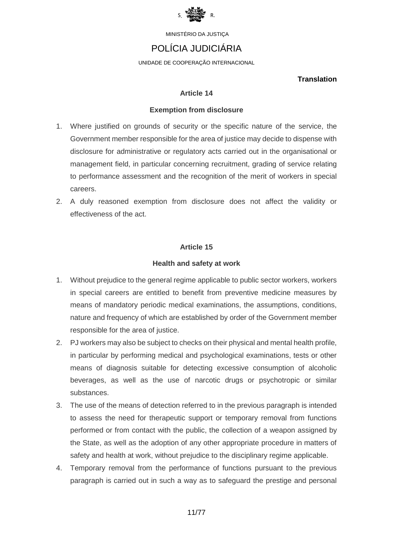

# POLÍCIA JUDICIÁRIA

UNIDADE DE COOPERAÇÃO INTERNACIONAL

### **Translation**

### **Article 14**

### **Exemption from disclosure**

- 1. Where justified on grounds of security or the specific nature of the service, the Government member responsible for the area of justice may decide to dispense with disclosure for administrative or regulatory acts carried out in the organisational or management field, in particular concerning recruitment, grading of service relating to performance assessment and the recognition of the merit of workers in special careers.
- 2. A duly reasoned exemption from disclosure does not affect the validity or effectiveness of the act.

## **Article 15**

### **Health and safety at work**

- 1. Without prejudice to the general regime applicable to public sector workers, workers in special careers are entitled to benefit from preventive medicine measures by means of mandatory periodic medical examinations, the assumptions, conditions, nature and frequency of which are established by order of the Government member responsible for the area of justice.
- 2. PJ workers may also be subject to checks on their physical and mental health profile, in particular by performing medical and psychological examinations, tests or other means of diagnosis suitable for detecting excessive consumption of alcoholic beverages, as well as the use of narcotic drugs or psychotropic or similar substances.
- 3. The use of the means of detection referred to in the previous paragraph is intended to assess the need for therapeutic support or temporary removal from functions performed or from contact with the public, the collection of a weapon assigned by the State, as well as the adoption of any other appropriate procedure in matters of safety and health at work, without prejudice to the disciplinary regime applicable.
- 4. Temporary removal from the performance of functions pursuant to the previous paragraph is carried out in such a way as to safeguard the prestige and personal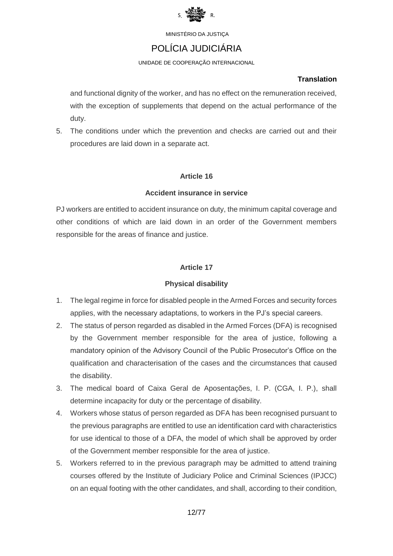

# POLÍCIA JUDICIÁRIA

UNIDADE DE COOPERAÇÃO INTERNACIONAL

### **Translation**

and functional dignity of the worker, and has no effect on the remuneration received, with the exception of supplements that depend on the actual performance of the duty.

5. The conditions under which the prevention and checks are carried out and their procedures are laid down in a separate act.

## **Article 16**

### **Accident insurance in service**

PJ workers are entitled to accident insurance on duty, the minimum capital coverage and other conditions of which are laid down in an order of the Government members responsible for the areas of finance and justice.

## **Article 17**

## **Physical disability**

- 1. The legal regime in force for disabled people in the Armed Forces and security forces applies, with the necessary adaptations, to workers in the PJ's special careers.
- 2. The status of person regarded as disabled in the Armed Forces (DFA) is recognised by the Government member responsible for the area of justice, following a mandatory opinion of the Advisory Council of the Public Prosecutor's Office on the qualification and characterisation of the cases and the circumstances that caused the disability.
- 3. The medical board of Caixa Geral de Aposentações, I. P. (CGA, I. P.), shall determine incapacity for duty or the percentage of disability.
- 4. Workers whose status of person regarded as DFA has been recognised pursuant to the previous paragraphs are entitled to use an identification card with characteristics for use identical to those of a DFA, the model of which shall be approved by order of the Government member responsible for the area of justice.
- 5. Workers referred to in the previous paragraph may be admitted to attend training courses offered by the Institute of Judiciary Police and Criminal Sciences (IPJCC) on an equal footing with the other candidates, and shall, according to their condition,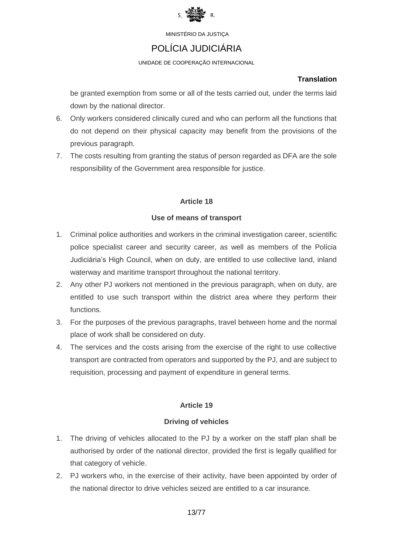

# POLÍCIA JUDICIÁRIA

UNIDADE DE COOPERAÇÃO INTERNACIONAL

## **Translation**

be granted exemption from some or all of the tests carried out, under the terms laid down by the national director.

- 6. Only workers considered clinically cured and who can perform all the functions that do not depend on their physical capacity may benefit from the provisions of the previous paragraph.
- 7. The costs resulting from granting the status of person regarded as DFA are the sole responsibility of the Government area responsible for justice.

## **Article 18**

## **Use of means of transport**

- 1. Criminal police authorities and workers in the criminal investigation career, scientific police specialist career and security career, as well as members of the Polícia Judiciária's High Council, when on duty, are entitled to use collective land, inland waterway and maritime transport throughout the national territory.
- 2. Any other PJ workers not mentioned in the previous paragraph, when on duty, are entitled to use such transport within the district area where they perform their functions.
- 3. For the purposes of the previous paragraphs, travel between home and the normal place of work shall be considered on duty.
- 4. The services and the costs arising from the exercise of the right to use collective transport are contracted from operators and supported by the PJ, and are subject to requisition, processing and payment of expenditure in general terms.

## **Article 19**

## **Driving of vehicles**

- 1. The driving of vehicles allocated to the PJ by a worker on the staff plan shall be authorised by order of the national director, provided the first is legally qualified for that category of vehicle.
- 2. PJ workers who, in the exercise of their activity, have been appointed by order of the national director to drive vehicles seized are entitled to a car insurance.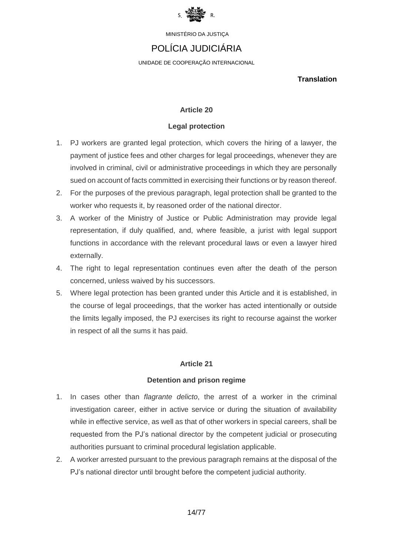

# POLÍCIA JUDICIÁRIA

UNIDADE DE COOPERAÇÃO INTERNACIONAL

**Translation**

### **Article 20**

#### **Legal protection**

- 1. PJ workers are granted legal protection, which covers the hiring of a lawyer, the payment of justice fees and other charges for legal proceedings, whenever they are involved in criminal, civil or administrative proceedings in which they are personally sued on account of facts committed in exercising their functions or by reason thereof.
- 2. For the purposes of the previous paragraph, legal protection shall be granted to the worker who requests it, by reasoned order of the national director.
- 3. A worker of the Ministry of Justice or Public Administration may provide legal representation, if duly qualified, and, where feasible, a jurist with legal support functions in accordance with the relevant procedural laws or even a lawyer hired externally.
- 4. The right to legal representation continues even after the death of the person concerned, unless waived by his successors.
- 5. Where legal protection has been granted under this Article and it is established, in the course of legal proceedings, that the worker has acted intentionally or outside the limits legally imposed, the PJ exercises its right to recourse against the worker in respect of all the sums it has paid.

### **Article 21**

#### **Detention and prison regime**

- 1. In cases other than *flagrante delicto*, the arrest of a worker in the criminal investigation career, either in active service or during the situation of availability while in effective service, as well as that of other workers in special careers, shall be requested from the PJ's national director by the competent judicial or prosecuting authorities pursuant to criminal procedural legislation applicable.
- 2. A worker arrested pursuant to the previous paragraph remains at the disposal of the PJ's national director until brought before the competent judicial authority.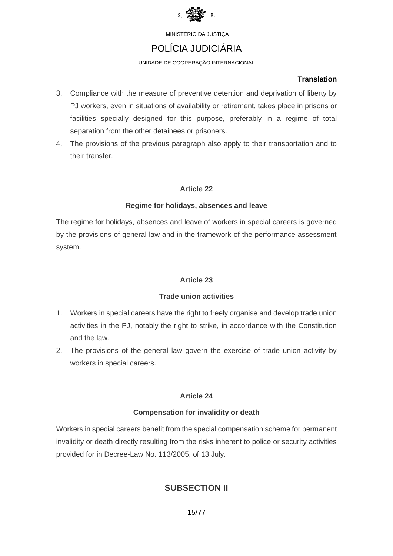

# POLÍCIA JUDICIÁRIA

### UNIDADE DE COOPERAÇÃO INTERNACIONAL

### **Translation**

- 3. Compliance with the measure of preventive detention and deprivation of liberty by PJ workers, even in situations of availability or retirement, takes place in prisons or facilities specially designed for this purpose, preferably in a regime of total separation from the other detainees or prisoners.
- 4. The provisions of the previous paragraph also apply to their transportation and to their transfer.

## **Article 22**

### **Regime for holidays, absences and leave**

The regime for holidays, absences and leave of workers in special careers is governed by the provisions of general law and in the framework of the performance assessment system.

## **Article 23**

## **Trade union activities**

- 1. Workers in special careers have the right to freely organise and develop trade union activities in the PJ, notably the right to strike, in accordance with the Constitution and the law.
- 2. The provisions of the general law govern the exercise of trade union activity by workers in special careers.

## **Article 24**

### **Compensation for invalidity or death**

Workers in special careers benefit from the special compensation scheme for permanent invalidity or death directly resulting from the risks inherent to police or security activities provided for in Decree-Law No. 113/2005, of 13 July.

## **SUBSECTION II**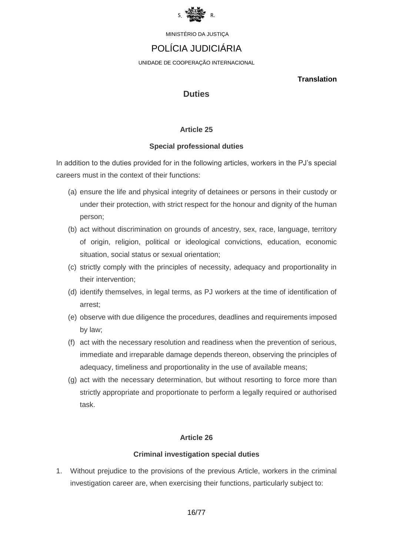

# POLÍCIA JUDICIÁRIA

UNIDADE DE COOPERAÇÃO INTERNACIONAL

**Translation**

## **Duties**

## **Article 25**

### **Special professional duties**

In addition to the duties provided for in the following articles, workers in the PJ's special careers must in the context of their functions:

- (a) ensure the life and physical integrity of detainees or persons in their custody or under their protection, with strict respect for the honour and dignity of the human person;
- (b) act without discrimination on grounds of ancestry, sex, race, language, territory of origin, religion, political or ideological convictions, education, economic situation, social status or sexual orientation;
- (c) strictly comply with the principles of necessity, adequacy and proportionality in their intervention;
- (d) identify themselves, in legal terms, as PJ workers at the time of identification of arrest;
- (e) observe with due diligence the procedures, deadlines and requirements imposed by law;
- (f) act with the necessary resolution and readiness when the prevention of serious, immediate and irreparable damage depends thereon, observing the principles of adequacy, timeliness and proportionality in the use of available means;
- (g) act with the necessary determination, but without resorting to force more than strictly appropriate and proportionate to perform a legally required or authorised task.

## **Article 26**

## **Criminal investigation special duties**

1. Without prejudice to the provisions of the previous Article, workers in the criminal investigation career are, when exercising their functions, particularly subject to: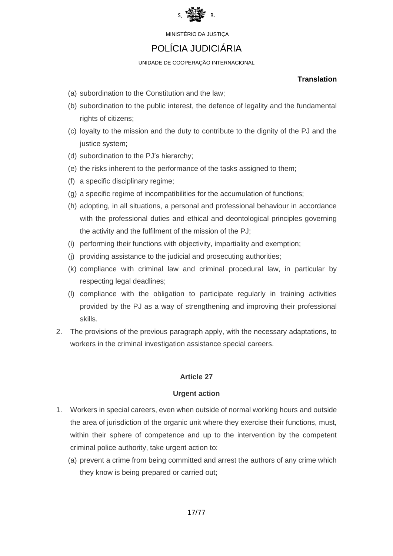

# POLÍCIA JUDICIÁRIA

UNIDADE DE COOPERAÇÃO INTERNACIONAL

### **Translation**

- (a) subordination to the Constitution and the law;
- (b) subordination to the public interest, the defence of legality and the fundamental rights of citizens;
- (c) loyalty to the mission and the duty to contribute to the dignity of the PJ and the justice system;
- (d) subordination to the PJ's hierarchy;
- (e) the risks inherent to the performance of the tasks assigned to them;
- (f) a specific disciplinary regime;
- (g) a specific regime of incompatibilities for the accumulation of functions;
- (h) adopting, in all situations, a personal and professional behaviour in accordance with the professional duties and ethical and deontological principles governing the activity and the fulfilment of the mission of the PJ;
- (i) performing their functions with objectivity, impartiality and exemption;
- (j) providing assistance to the judicial and prosecuting authorities;
- (k) compliance with criminal law and criminal procedural law, in particular by respecting legal deadlines;
- (l) compliance with the obligation to participate regularly in training activities provided by the PJ as a way of strengthening and improving their professional skills.
- 2. The provisions of the previous paragraph apply, with the necessary adaptations, to workers in the criminal investigation assistance special careers.

## **Article 27**

## **Urgent action**

- 1. Workers in special careers, even when outside of normal working hours and outside the area of jurisdiction of the organic unit where they exercise their functions, must, within their sphere of competence and up to the intervention by the competent criminal police authority, take urgent action to:
	- (a) prevent a crime from being committed and arrest the authors of any crime which they know is being prepared or carried out;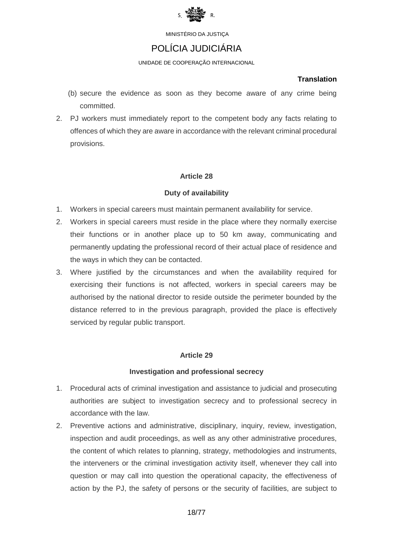

## POLÍCIA JUDICIÁRIA

UNIDADE DE COOPERAÇÃO INTERNACIONAL

### **Translation**

- (b) secure the evidence as soon as they become aware of any crime being committed.
- 2. PJ workers must immediately report to the competent body any facts relating to offences of which they are aware in accordance with the relevant criminal procedural provisions.

## **Article 28**

### **Duty of availability**

- 1. Workers in special careers must maintain permanent availability for service.
- 2. Workers in special careers must reside in the place where they normally exercise their functions or in another place up to 50 km away, communicating and permanently updating the professional record of their actual place of residence and the ways in which they can be contacted.
- 3. Where justified by the circumstances and when the availability required for exercising their functions is not affected, workers in special careers may be authorised by the national director to reside outside the perimeter bounded by the distance referred to in the previous paragraph, provided the place is effectively serviced by regular public transport.

### **Article 29**

### **Investigation and professional secrecy**

- 1. Procedural acts of criminal investigation and assistance to judicial and prosecuting authorities are subject to investigation secrecy and to professional secrecy in accordance with the law.
- 2. Preventive actions and administrative, disciplinary, inquiry, review, investigation, inspection and audit proceedings, as well as any other administrative procedures, the content of which relates to planning, strategy, methodologies and instruments, the interveners or the criminal investigation activity itself, whenever they call into question or may call into question the operational capacity, the effectiveness of action by the PJ, the safety of persons or the security of facilities, are subject to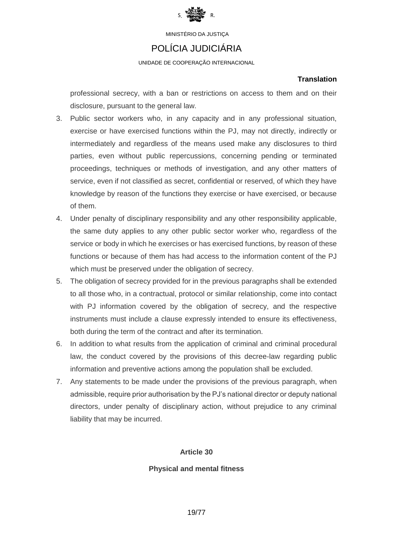

## POLÍCIA JUDICIÁRIA

UNIDADE DE COOPERAÇÃO INTERNACIONAL

### **Translation**

professional secrecy, with a ban or restrictions on access to them and on their disclosure, pursuant to the general law.

- 3. Public sector workers who, in any capacity and in any professional situation, exercise or have exercised functions within the PJ, may not directly, indirectly or intermediately and regardless of the means used make any disclosures to third parties, even without public repercussions, concerning pending or terminated proceedings, techniques or methods of investigation, and any other matters of service, even if not classified as secret, confidential or reserved, of which they have knowledge by reason of the functions they exercise or have exercised, or because of them.
- 4. Under penalty of disciplinary responsibility and any other responsibility applicable, the same duty applies to any other public sector worker who, regardless of the service or body in which he exercises or has exercised functions, by reason of these functions or because of them has had access to the information content of the PJ which must be preserved under the obligation of secrecy.
- 5. The obligation of secrecy provided for in the previous paragraphs shall be extended to all those who, in a contractual, protocol or similar relationship, come into contact with PJ information covered by the obligation of secrecy, and the respective instruments must include a clause expressly intended to ensure its effectiveness, both during the term of the contract and after its termination.
- 6. In addition to what results from the application of criminal and criminal procedural law, the conduct covered by the provisions of this decree-law regarding public information and preventive actions among the population shall be excluded.
- 7. Any statements to be made under the provisions of the previous paragraph, when admissible, require prior authorisation by the PJ's national director or deputy national directors, under penalty of disciplinary action, without prejudice to any criminal liability that may be incurred.

## **Article 30**

## **Physical and mental fitness**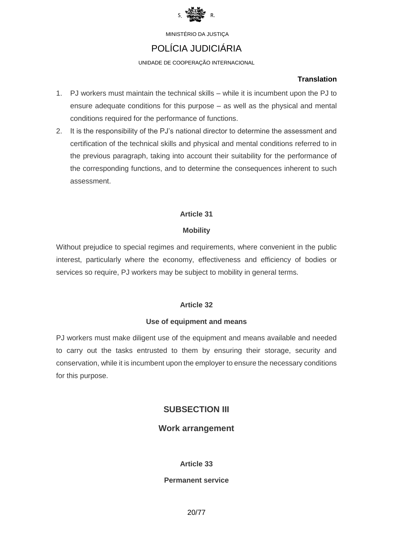

# POLÍCIA JUDICIÁRIA

### UNIDADE DE COOPERAÇÃO INTERNACIONAL

### **Translation**

- 1. PJ workers must maintain the technical skills while it is incumbent upon the PJ to ensure adequate conditions for this purpose – as well as the physical and mental conditions required for the performance of functions.
- 2. It is the responsibility of the PJ's national director to determine the assessment and certification of the technical skills and physical and mental conditions referred to in the previous paragraph, taking into account their suitability for the performance of the corresponding functions, and to determine the consequences inherent to such assessment.

## **Article 31**

### **Mobility**

Without prejudice to special regimes and requirements, where convenient in the public interest, particularly where the economy, effectiveness and efficiency of bodies or services so require, PJ workers may be subject to mobility in general terms.

## **Article 32**

### **Use of equipment and means**

PJ workers must make diligent use of the equipment and means available and needed to carry out the tasks entrusted to them by ensuring their storage, security and conservation, while it is incumbent upon the employer to ensure the necessary conditions for this purpose.

## **SUBSECTION III**

## **Work arrangement**

### **Article 33**

### **Permanent service**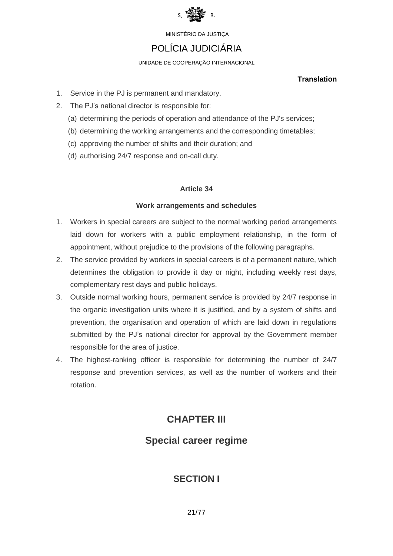

# POLÍCIA JUDICIÁRIA

UNIDADE DE COOPERAÇÃO INTERNACIONAL

### **Translation**

- 1. Service in the PJ is permanent and mandatory.
- 2. The PJ's national director is responsible for:
	- (a) determining the periods of operation and attendance of the PJ's services;
	- (b) determining the working arrangements and the corresponding timetables;
	- (c) approving the number of shifts and their duration; and
	- (d) authorising 24/7 response and on-call duty.

## **Article 34**

### **Work arrangements and schedules**

- 1. Workers in special careers are subject to the normal working period arrangements laid down for workers with a public employment relationship, in the form of appointment, without prejudice to the provisions of the following paragraphs.
- 2. The service provided by workers in special careers is of a permanent nature, which determines the obligation to provide it day or night, including weekly rest days, complementary rest days and public holidays.
- 3. Outside normal working hours, permanent service is provided by 24/7 response in the organic investigation units where it is justified, and by a system of shifts and prevention, the organisation and operation of which are laid down in regulations submitted by the PJ's national director for approval by the Government member responsible for the area of justice.
- 4. The highest-ranking officer is responsible for determining the number of 24/7 response and prevention services, as well as the number of workers and their rotation.

# **CHAPTER III**

# **Special career regime**

# **SECTION I**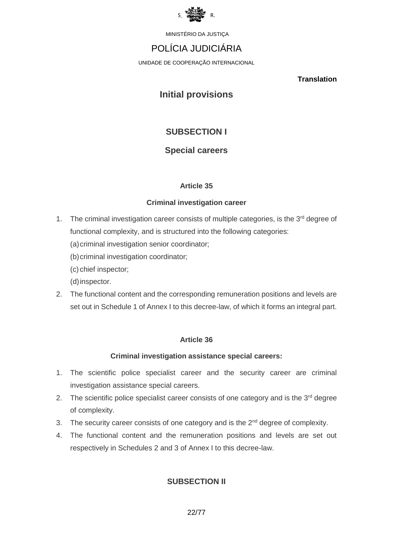

# POLÍCIA JUDICIÁRIA

UNIDADE DE COOPERAÇÃO INTERNACIONAL

**Translation**

# **Initial provisions**

# **SUBSECTION I**

## **Special careers**

## **Article 35**

### **Criminal investigation career**

1. The criminal investigation career consists of multiple categories, is the 3<sup>rd</sup> degree of functional complexity, and is structured into the following categories:

(a) criminal investigation senior coordinator;

(b) criminal investigation coordinator;

(c) chief inspector;

(d)inspector.

2. The functional content and the corresponding remuneration positions and levels are set out in Schedule 1 of Annex I to this decree-law, of which it forms an integral part.

## **Article 36**

## **Criminal investigation assistance special careers:**

- 1. The scientific police specialist career and the security career are criminal investigation assistance special careers.
- 2. The scientific police specialist career consists of one category and is the 3<sup>rd</sup> degree of complexity.
- 3. The security career consists of one category and is the  $2<sup>nd</sup>$  degree of complexity.
- 4. The functional content and the remuneration positions and levels are set out respectively in Schedules 2 and 3 of Annex I to this decree-law.

## **SUBSECTION II**

22/77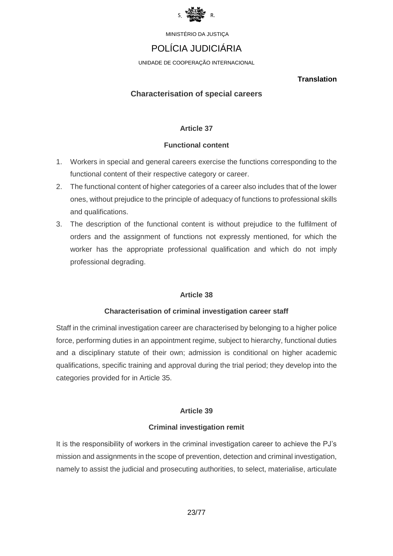

# POLÍCIA JUDICIÁRIA

UNIDADE DE COOPERAÇÃO INTERNACIONAL

**Translation**

### **Characterisation of special careers**

### **Article 37**

### **Functional content**

- 1. Workers in special and general careers exercise the functions corresponding to the functional content of their respective category or career.
- 2. The functional content of higher categories of a career also includes that of the lower ones, without prejudice to the principle of adequacy of functions to professional skills and qualifications.
- 3. The description of the functional content is without prejudice to the fulfilment of orders and the assignment of functions not expressly mentioned, for which the worker has the appropriate professional qualification and which do not imply professional degrading.

### **Article 38**

### **Characterisation of criminal investigation career staff**

Staff in the criminal investigation career are characterised by belonging to a higher police force, performing duties in an appointment regime, subject to hierarchy, functional duties and a disciplinary statute of their own; admission is conditional on higher academic qualifications, specific training and approval during the trial period; they develop into the categories provided for in Article 35.

### **Article 39**

### **Criminal investigation remit**

It is the responsibility of workers in the criminal investigation career to achieve the PJ's mission and assignments in the scope of prevention, detection and criminal investigation, namely to assist the judicial and prosecuting authorities, to select, materialise, articulate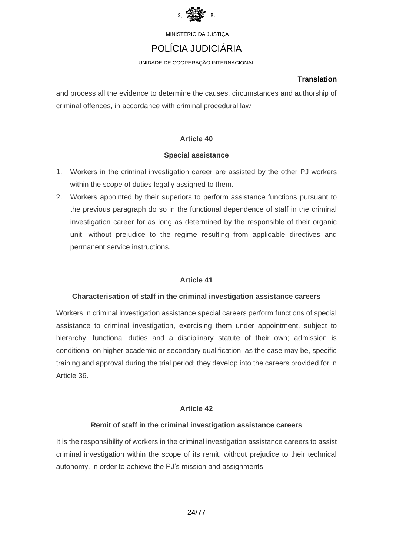

# POLÍCIA JUDICIÁRIA

UNIDADE DE COOPERAÇÃO INTERNACIONAL

### **Translation**

and process all the evidence to determine the causes, circumstances and authorship of criminal offences, in accordance with criminal procedural law.

## **Article 40**

### **Special assistance**

- 1. Workers in the criminal investigation career are assisted by the other PJ workers within the scope of duties legally assigned to them.
- 2. Workers appointed by their superiors to perform assistance functions pursuant to the previous paragraph do so in the functional dependence of staff in the criminal investigation career for as long as determined by the responsible of their organic unit, without prejudice to the regime resulting from applicable directives and permanent service instructions.

## **Article 41**

## **Characterisation of staff in the criminal investigation assistance careers**

Workers in criminal investigation assistance special careers perform functions of special assistance to criminal investigation, exercising them under appointment, subject to hierarchy, functional duties and a disciplinary statute of their own; admission is conditional on higher academic or secondary qualification, as the case may be, specific training and approval during the trial period; they develop into the careers provided for in Article 36.

## **Article 42**

## **Remit of staff in the criminal investigation assistance careers**

It is the responsibility of workers in the criminal investigation assistance careers to assist criminal investigation within the scope of its remit, without prejudice to their technical autonomy, in order to achieve the PJ's mission and assignments.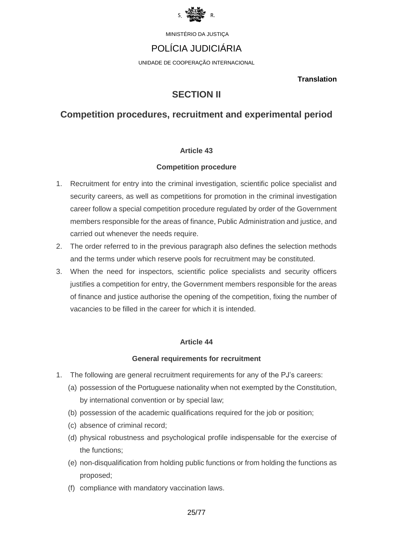

# POLÍCIA JUDICIÁRIA

UNIDADE DE COOPERAÇÃO INTERNACIONAL

**Translation**

# **SECTION II**

## **Competition procedures, recruitment and experimental period**

### **Article 43**

### **Competition procedure**

- 1. Recruitment for entry into the criminal investigation, scientific police specialist and security careers, as well as competitions for promotion in the criminal investigation career follow a special competition procedure regulated by order of the Government members responsible for the areas of finance, Public Administration and justice, and carried out whenever the needs require.
- 2. The order referred to in the previous paragraph also defines the selection methods and the terms under which reserve pools for recruitment may be constituted.
- 3. When the need for inspectors, scientific police specialists and security officers justifies a competition for entry, the Government members responsible for the areas of finance and justice authorise the opening of the competition, fixing the number of vacancies to be filled in the career for which it is intended.

### **Article 44**

### **General requirements for recruitment**

- 1. The following are general recruitment requirements for any of the PJ's careers:
	- (a) possession of the Portuguese nationality when not exempted by the Constitution, by international convention or by special law;
	- (b) possession of the academic qualifications required for the job or position;
	- (c) absence of criminal record;
	- (d) physical robustness and psychological profile indispensable for the exercise of the functions;
	- (e) non-disqualification from holding public functions or from holding the functions as proposed;
	- (f) compliance with mandatory vaccination laws.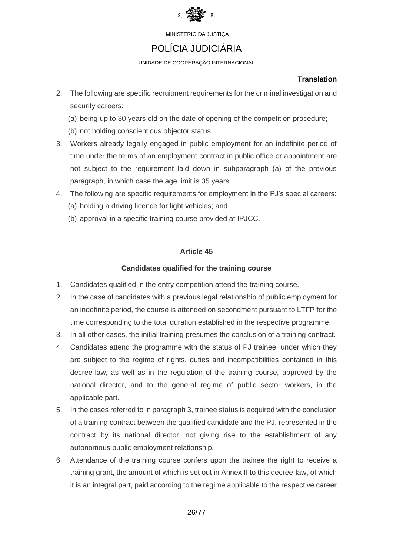

# POLÍCIA JUDICIÁRIA

UNIDADE DE COOPERAÇÃO INTERNACIONAL

## **Translation**

- 2. The following are specific recruitment requirements for the criminal investigation and security careers:
	- (a) being up to 30 years old on the date of opening of the competition procedure;
	- (b) not holding conscientious objector status.
- 3. Workers already legally engaged in public employment for an indefinite period of time under the terms of an employment contract in public office or appointment are not subject to the requirement laid down in subparagraph (a) of the previous paragraph, in which case the age limit is 35 years.
- 4. The following are specific requirements for employment in the PJ's special careers: (a) holding a driving licence for light vehicles; and
	- (b) approval in a specific training course provided at IPJCC.

## **Article 45**

## **Candidates qualified for the training course**

- 1. Candidates qualified in the entry competition attend the training course.
- 2. In the case of candidates with a previous legal relationship of public employment for an indefinite period, the course is attended on secondment pursuant to LTFP for the time corresponding to the total duration established in the respective programme.
- 3. In all other cases, the initial training presumes the conclusion of a training contract.
- 4. Candidates attend the programme with the status of PJ trainee, under which they are subject to the regime of rights, duties and incompatibilities contained in this decree-law, as well as in the regulation of the training course, approved by the national director, and to the general regime of public sector workers, in the applicable part.
- 5. In the cases referred to in paragraph 3, trainee status is acquired with the conclusion of a training contract between the qualified candidate and the PJ, represented in the contract by its national director, not giving rise to the establishment of any autonomous public employment relationship.
- 6. Attendance of the training course confers upon the trainee the right to receive a training grant, the amount of which is set out in Annex II to this decree-law, of which it is an integral part, paid according to the regime applicable to the respective career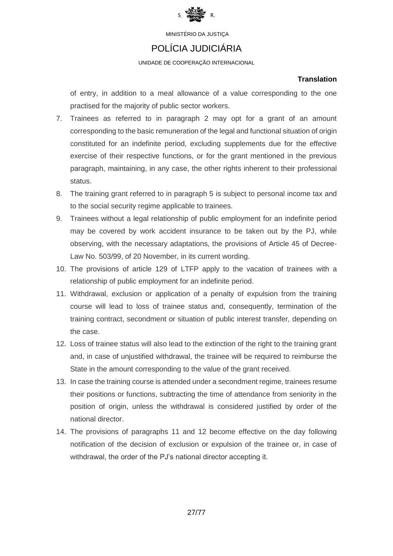

## POLÍCIA JUDICIÁRIA

UNIDADE DE COOPERAÇÃO INTERNACIONAL

### **Translation**

of entry, in addition to a meal allowance of a value corresponding to the one practised for the majority of public sector workers.

- 7. Trainees as referred to in paragraph 2 may opt for a grant of an amount corresponding to the basic remuneration of the legal and functional situation of origin constituted for an indefinite period, excluding supplements due for the effective exercise of their respective functions, or for the grant mentioned in the previous paragraph, maintaining, in any case, the other rights inherent to their professional status.
- 8. The training grant referred to in paragraph 5 is subject to personal income tax and to the social security regime applicable to trainees.
- 9. Trainees without a legal relationship of public employment for an indefinite period may be covered by work accident insurance to be taken out by the PJ, while observing, with the necessary adaptations, the provisions of Article 45 of Decree-Law No. 503/99, of 20 November, in its current wording.
- 10. The provisions of article 129 of LTFP apply to the vacation of trainees with a relationship of public employment for an indefinite period.
- 11. Withdrawal, exclusion or application of a penalty of expulsion from the training course will lead to loss of trainee status and, consequently, termination of the training contract, secondment or situation of public interest transfer, depending on the case.
- 12. Loss of trainee status will also lead to the extinction of the right to the training grant and, in case of unjustified withdrawal, the trainee will be required to reimburse the State in the amount corresponding to the value of the grant received.
- 13. In case the training course is attended under a secondment regime, trainees resume their positions or functions, subtracting the time of attendance from seniority in the position of origin, unless the withdrawal is considered justified by order of the national director.
- 14. The provisions of paragraphs 11 and 12 become effective on the day following notification of the decision of exclusion or expulsion of the trainee or, in case of withdrawal, the order of the PJ's national director accepting it.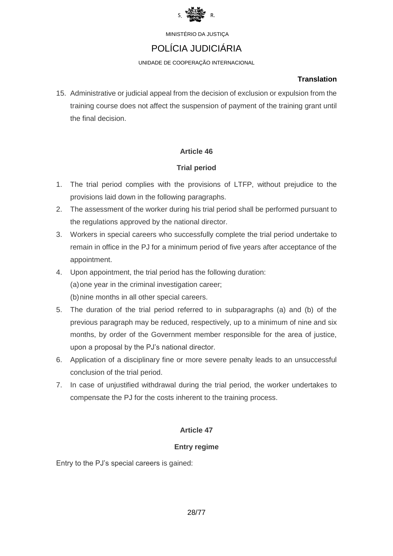

# POLÍCIA JUDICIÁRIA

UNIDADE DE COOPERAÇÃO INTERNACIONAL

### **Translation**

15. Administrative or judicial appeal from the decision of exclusion or expulsion from the training course does not affect the suspension of payment of the training grant until the final decision.

## **Article 46**

## **Trial period**

- 1. The trial period complies with the provisions of LTFP, without prejudice to the provisions laid down in the following paragraphs.
- 2. The assessment of the worker during his trial period shall be performed pursuant to the regulations approved by the national director.
- 3. Workers in special careers who successfully complete the trial period undertake to remain in office in the PJ for a minimum period of five years after acceptance of the appointment.
- 4. Upon appointment, the trial period has the following duration: (a)one year in the criminal investigation career; (b)nine months in all other special careers.
- 5. The duration of the trial period referred to in subparagraphs (a) and (b) of the previous paragraph may be reduced, respectively, up to a minimum of nine and six months, by order of the Government member responsible for the area of justice, upon a proposal by the PJ's national director.
- 6. Application of a disciplinary fine or more severe penalty leads to an unsuccessful conclusion of the trial period.
- 7. In case of unjustified withdrawal during the trial period, the worker undertakes to compensate the PJ for the costs inherent to the training process.

## **Article 47**

## **Entry regime**

Entry to the PJ's special careers is gained: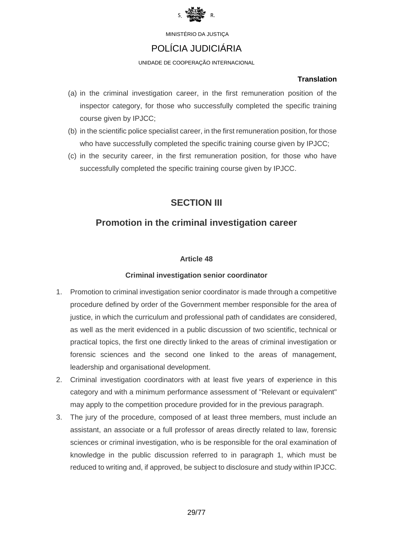

# POLÍCIA JUDICIÁRIA

UNIDADE DE COOPERAÇÃO INTERNACIONAL

### **Translation**

- (a) in the criminal investigation career, in the first remuneration position of the inspector category, for those who successfully completed the specific training course given by IPJCC;
- (b) in the scientific police specialist career, in the first remuneration position, for those who have successfully completed the specific training course given by IPJCC;
- (c) in the security career, in the first remuneration position, for those who have successfully completed the specific training course given by IPJCC.

# **SECTION III**

# **Promotion in the criminal investigation career**

## **Article 48**

## **Criminal investigation senior coordinator**

- 1. Promotion to criminal investigation senior coordinator is made through a competitive procedure defined by order of the Government member responsible for the area of justice, in which the curriculum and professional path of candidates are considered, as well as the merit evidenced in a public discussion of two scientific, technical or practical topics, the first one directly linked to the areas of criminal investigation or forensic sciences and the second one linked to the areas of management, leadership and organisational development.
- 2. Criminal investigation coordinators with at least five years of experience in this category and with a minimum performance assessment of "Relevant or equivalent" may apply to the competition procedure provided for in the previous paragraph.
- 3. The jury of the procedure, composed of at least three members, must include an assistant, an associate or a full professor of areas directly related to law, forensic sciences or criminal investigation, who is be responsible for the oral examination of knowledge in the public discussion referred to in paragraph 1, which must be reduced to writing and, if approved, be subject to disclosure and study within IPJCC.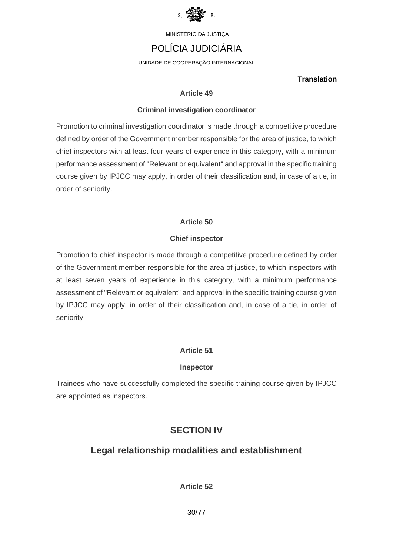

# POLÍCIA JUDICIÁRIA

UNIDADE DE COOPERAÇÃO INTERNACIONAL

### **Translation**

### **Article 49**

### **Criminal investigation coordinator**

Promotion to criminal investigation coordinator is made through a competitive procedure defined by order of the Government member responsible for the area of justice, to which chief inspectors with at least four years of experience in this category, with a minimum performance assessment of "Relevant or equivalent" and approval in the specific training course given by IPJCC may apply, in order of their classification and, in case of a tie, in order of seniority.

## **Article 50**

### **Chief inspector**

Promotion to chief inspector is made through a competitive procedure defined by order of the Government member responsible for the area of justice, to which inspectors with at least seven years of experience in this category, with a minimum performance assessment of "Relevant or equivalent" and approval in the specific training course given by IPJCC may apply, in order of their classification and, in case of a tie, in order of seniority.

## **Article 51**

### **Inspector**

Trainees who have successfully completed the specific training course given by IPJCC are appointed as inspectors.

# **SECTION IV**

## **Legal relationship modalities and establishment**

**Article 52**

30/77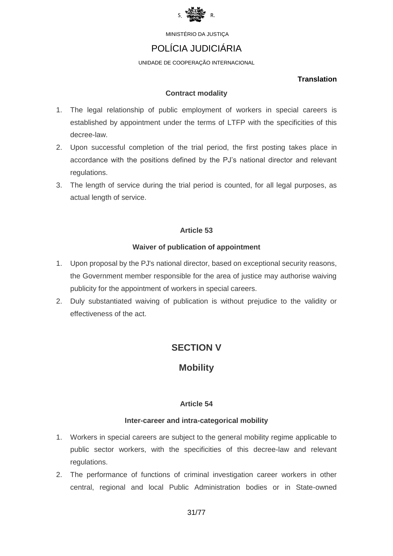

# POLÍCIA JUDICIÁRIA

UNIDADE DE COOPERAÇÃO INTERNACIONAL

### **Translation**

### **Contract modality**

- 1. The legal relationship of public employment of workers in special careers is established by appointment under the terms of LTFP with the specificities of this decree-law.
- 2. Upon successful completion of the trial period, the first posting takes place in accordance with the positions defined by the PJ's national director and relevant regulations.
- 3. The length of service during the trial period is counted, for all legal purposes, as actual length of service.

## **Article 53**

### **Waiver of publication of appointment**

- 1. Upon proposal by the PJ's national director, based on exceptional security reasons, the Government member responsible for the area of justice may authorise waiving publicity for the appointment of workers in special careers.
- 2. Duly substantiated waiving of publication is without prejudice to the validity or effectiveness of the act.

# **SECTION V**

# **Mobility**

## **Article 54**

### **Inter-career and intra-categorical mobility**

- 1. Workers in special careers are subject to the general mobility regime applicable to public sector workers, with the specificities of this decree-law and relevant regulations.
- 2. The performance of functions of criminal investigation career workers in other central, regional and local Public Administration bodies or in State-owned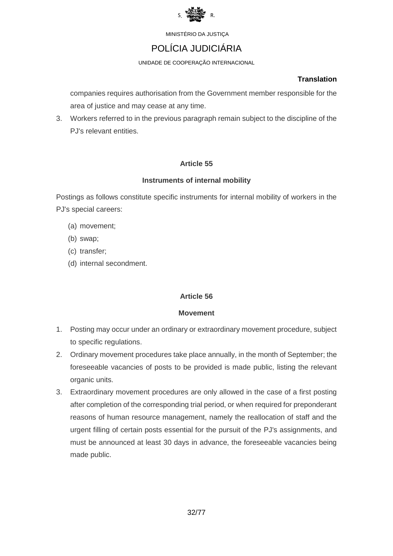

# POLÍCIA JUDICIÁRIA

UNIDADE DE COOPERAÇÃO INTERNACIONAL

### **Translation**

companies requires authorisation from the Government member responsible for the area of justice and may cease at any time.

3. Workers referred to in the previous paragraph remain subject to the discipline of the PJ's relevant entities.

## **Article 55**

### **Instruments of internal mobility**

Postings as follows constitute specific instruments for internal mobility of workers in the PJ's special careers:

- (a) movement;
- (b) swap;
- (c) transfer;
- (d) internal secondment.

### **Article 56**

### **Movement**

- 1. Posting may occur under an ordinary or extraordinary movement procedure, subject to specific regulations.
- 2. Ordinary movement procedures take place annually, in the month of September; the foreseeable vacancies of posts to be provided is made public, listing the relevant organic units.
- 3. Extraordinary movement procedures are only allowed in the case of a first posting after completion of the corresponding trial period, or when required for preponderant reasons of human resource management, namely the reallocation of staff and the urgent filling of certain posts essential for the pursuit of the PJ's assignments, and must be announced at least 30 days in advance, the foreseeable vacancies being made public.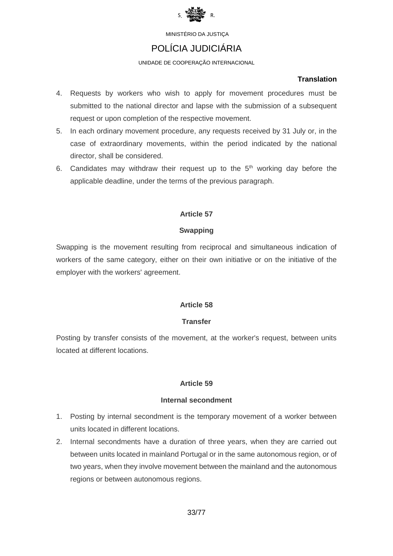

# POLÍCIA JUDICIÁRIA

### UNIDADE DE COOPERAÇÃO INTERNACIONAL

#### **Translation**

- 4. Requests by workers who wish to apply for movement procedures must be submitted to the national director and lapse with the submission of a subsequent request or upon completion of the respective movement.
- 5. In each ordinary movement procedure, any requests received by 31 July or, in the case of extraordinary movements, within the period indicated by the national director, shall be considered.
- 6. Candidates may withdraw their request up to the  $5<sup>th</sup>$  working day before the applicable deadline, under the terms of the previous paragraph.

### **Article 57**

#### **Swapping**

Swapping is the movement resulting from reciprocal and simultaneous indication of workers of the same category, either on their own initiative or on the initiative of the employer with the workers' agreement.

### **Article 58**

#### **Transfer**

Posting by transfer consists of the movement, at the worker's request, between units located at different locations.

### **Article 59**

#### **Internal secondment**

- 1. Posting by internal secondment is the temporary movement of a worker between units located in different locations.
- 2. Internal secondments have a duration of three years, when they are carried out between units located in mainland Portugal or in the same autonomous region, or of two years, when they involve movement between the mainland and the autonomous regions or between autonomous regions.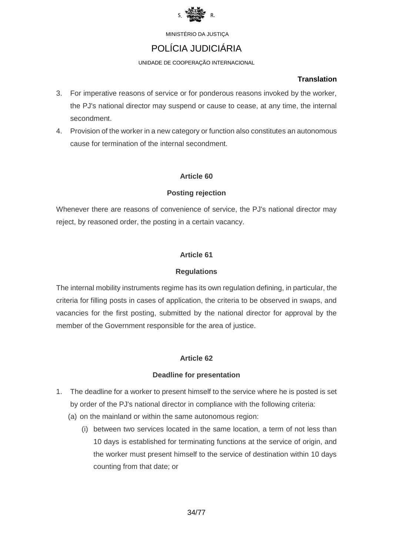

# POLÍCIA JUDICIÁRIA

UNIDADE DE COOPERAÇÃO INTERNACIONAL

### **Translation**

- 3. For imperative reasons of service or for ponderous reasons invoked by the worker, the PJ's national director may suspend or cause to cease, at any time, the internal secondment.
- 4. Provision of the worker in a new category or function also constitutes an autonomous cause for termination of the internal secondment.

## **Article 60**

## **Posting rejection**

Whenever there are reasons of convenience of service, the PJ's national director may reject, by reasoned order, the posting in a certain vacancy.

## **Article 61**

## **Regulations**

The internal mobility instruments regime has its own regulation defining, in particular, the criteria for filling posts in cases of application, the criteria to be observed in swaps, and vacancies for the first posting, submitted by the national director for approval by the member of the Government responsible for the area of justice.

## **Article 62**

## **Deadline for presentation**

- 1. The deadline for a worker to present himself to the service where he is posted is set by order of the PJ's national director in compliance with the following criteria:
	- (a) on the mainland or within the same autonomous region:
		- (i) between two services located in the same location, a term of not less than 10 days is established for terminating functions at the service of origin, and the worker must present himself to the service of destination within 10 days counting from that date; or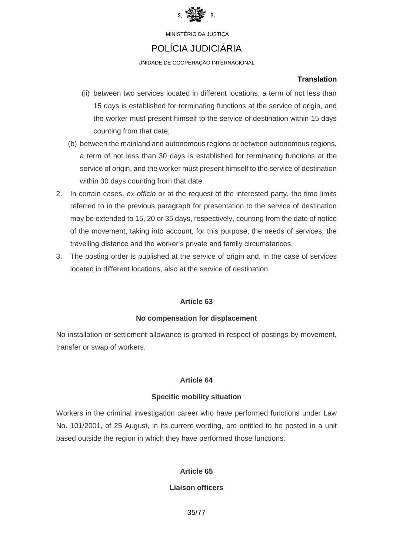

# POLÍCIA JUDICIÁRIA

UNIDADE DE COOPERAÇÃO INTERNACIONAL

### **Translation**

- (ii) between two services located in different locations, a term of not less than 15 days is established for terminating functions at the service of origin, and the worker must present himself to the service of destination within 15 days counting from that date;
- (b) between the mainland and autonomous regions or between autonomous regions, a term of not less than 30 days is established for terminating functions at the service of origin, and the worker must present himself to the service of destination within 30 days counting from that date.
- 2. In certain cases, *ex officio* or at the request of the interested party, the time limits referred to in the previous paragraph for presentation to the service of destination may be extended to 15, 20 or 35 days, respectively, counting from the date of notice of the movement, taking into account, for this purpose, the needs of services, the travelling distance and the worker's private and family circumstances.
- 3. The posting order is published at the service of origin and, in the case of services located in different locations, also at the service of destination.

## **Article 63**

## **No compensation for displacement**

No installation or settlement allowance is granted in respect of postings by movement, transfer or swap of workers.

## **Article 64**

## **Specific mobility situation**

Workers in the criminal investigation career who have performed functions under Law No. 101/2001, of 25 August, in its current wording, are entitled to be posted in a unit based outside the region in which they have performed those functions.

## **Article 65**

## **Liaison officers**

35/77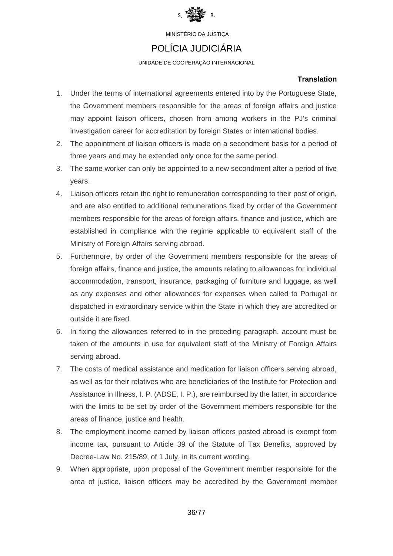

# POLÍCIA JUDICIÁRIA

UNIDADE DE COOPERAÇÃO INTERNACIONAL

### **Translation**

- 1. Under the terms of international agreements entered into by the Portuguese State, the Government members responsible for the areas of foreign affairs and justice may appoint liaison officers, chosen from among workers in the PJ's criminal investigation career for accreditation by foreign States or international bodies.
- 2. The appointment of liaison officers is made on a secondment basis for a period of three years and may be extended only once for the same period.
- 3. The same worker can only be appointed to a new secondment after a period of five years.
- 4. Liaison officers retain the right to remuneration corresponding to their post of origin, and are also entitled to additional remunerations fixed by order of the Government members responsible for the areas of foreign affairs, finance and justice, which are established in compliance with the regime applicable to equivalent staff of the Ministry of Foreign Affairs serving abroad.
- 5. Furthermore, by order of the Government members responsible for the areas of foreign affairs, finance and justice, the amounts relating to allowances for individual accommodation, transport, insurance, packaging of furniture and luggage, as well as any expenses and other allowances for expenses when called to Portugal or dispatched in extraordinary service within the State in which they are accredited or outside it are fixed.
- 6. In fixing the allowances referred to in the preceding paragraph, account must be taken of the amounts in use for equivalent staff of the Ministry of Foreign Affairs serving abroad.
- 7. The costs of medical assistance and medication for liaison officers serving abroad, as well as for their relatives who are beneficiaries of the Institute for Protection and Assistance in Illness, I. P. (ADSE, I. P.), are reimbursed by the latter, in accordance with the limits to be set by order of the Government members responsible for the areas of finance, justice and health.
- 8. The employment income earned by liaison officers posted abroad is exempt from income tax, pursuant to Article 39 of the Statute of Tax Benefits, approved by Decree-Law No. 215/89, of 1 July, in its current wording.
- 9. When appropriate, upon proposal of the Government member responsible for the area of justice, liaison officers may be accredited by the Government member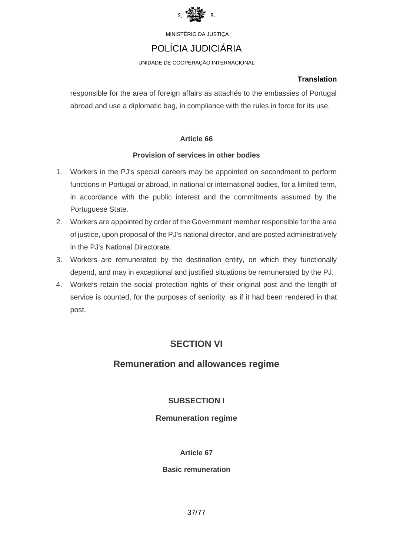

## POLÍCIA JUDICIÁRIA

UNIDADE DE COOPERAÇÃO INTERNACIONAL

#### **Translation**

responsible for the area of foreign affairs as attachés to the embassies of Portugal abroad and use a diplomatic bag, in compliance with the rules in force for its use.

#### **Article 66**

#### **Provision of services in other bodies**

- 1. Workers in the PJ's special careers may be appointed on secondment to perform functions in Portugal or abroad, in national or international bodies, for a limited term, in accordance with the public interest and the commitments assumed by the Portuguese State.
- 2. Workers are appointed by order of the Government member responsible for the area of justice, upon proposal of the PJ's national director, and are posted administratively in the PJ's National Directorate.
- 3. Workers are remunerated by the destination entity, on which they functionally depend, and may in exceptional and justified situations be remunerated by the PJ.
- 4. Workers retain the social protection rights of their original post and the length of service is counted, for the purposes of seniority, as if it had been rendered in that post.

## **SECTION VI**

## **Remuneration and allowances regime**

### **SUBSECTION I**

#### **Remuneration regime**

#### **Article 67**

#### **Basic remuneration**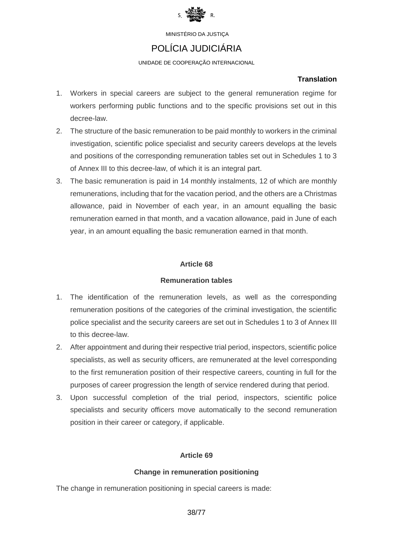

## POLÍCIA JUDICIÁRIA

UNIDADE DE COOPERAÇÃO INTERNACIONAL

#### **Translation**

- 1. Workers in special careers are subject to the general remuneration regime for workers performing public functions and to the specific provisions set out in this decree-law.
- 2. The structure of the basic remuneration to be paid monthly to workers in the criminal investigation, scientific police specialist and security careers develops at the levels and positions of the corresponding remuneration tables set out in Schedules 1 to 3 of Annex III to this decree-law, of which it is an integral part.
- 3. The basic remuneration is paid in 14 monthly instalments, 12 of which are monthly remunerations, including that for the vacation period, and the others are a Christmas allowance, paid in November of each year, in an amount equalling the basic remuneration earned in that month, and a vacation allowance, paid in June of each year, in an amount equalling the basic remuneration earned in that month.

#### **Article 68**

#### **Remuneration tables**

- 1. The identification of the remuneration levels, as well as the corresponding remuneration positions of the categories of the criminal investigation, the scientific police specialist and the security careers are set out in Schedules 1 to 3 of Annex III to this decree-law.
- 2. After appointment and during their respective trial period, inspectors, scientific police specialists, as well as security officers, are remunerated at the level corresponding to the first remuneration position of their respective careers, counting in full for the purposes of career progression the length of service rendered during that period.
- 3. Upon successful completion of the trial period, inspectors, scientific police specialists and security officers move automatically to the second remuneration position in their career or category, if applicable.

#### **Article 69**

#### **Change in remuneration positioning**

The change in remuneration positioning in special careers is made:

38/77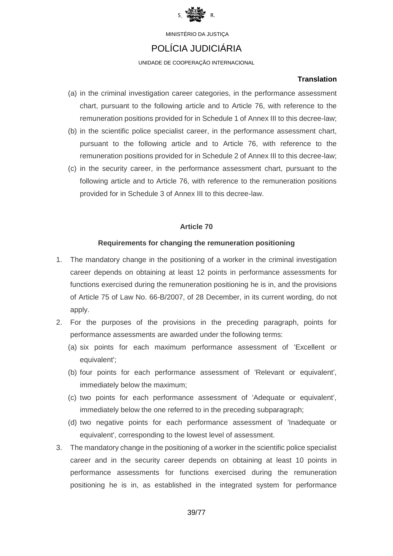

### POLÍCIA JUDICIÁRIA

UNIDADE DE COOPERAÇÃO INTERNACIONAL

#### **Translation**

- (a) in the criminal investigation career categories, in the performance assessment chart, pursuant to the following article and to Article 76, with reference to the remuneration positions provided for in Schedule 1 of Annex III to this decree-law;
- (b) in the scientific police specialist career, in the performance assessment chart, pursuant to the following article and to Article 76, with reference to the remuneration positions provided for in Schedule 2 of Annex III to this decree-law;
- (c) in the security career, in the performance assessment chart, pursuant to the following article and to Article 76, with reference to the remuneration positions provided for in Schedule 3 of Annex III to this decree-law.

#### **Article 70**

#### **Requirements for changing the remuneration positioning**

- 1. The mandatory change in the positioning of a worker in the criminal investigation career depends on obtaining at least 12 points in performance assessments for functions exercised during the remuneration positioning he is in, and the provisions of Article 75 of Law No. 66-B/2007, of 28 December, in its current wording, do not apply.
- 2. For the purposes of the provisions in the preceding paragraph, points for performance assessments are awarded under the following terms:
	- (a) six points for each maximum performance assessment of 'Excellent or equivalent';
	- (b) four points for each performance assessment of 'Relevant or equivalent', immediately below the maximum;
	- (c) two points for each performance assessment of 'Adequate or equivalent', immediately below the one referred to in the preceding subparagraph;
	- (d) two negative points for each performance assessment of 'Inadequate or equivalent', corresponding to the lowest level of assessment.
- 3. The mandatory change in the positioning of a worker in the scientific police specialist career and in the security career depends on obtaining at least 10 points in performance assessments for functions exercised during the remuneration positioning he is in, as established in the integrated system for performance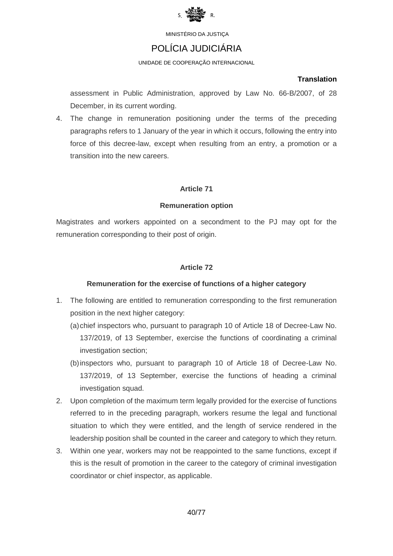

## POLÍCIA JUDICIÁRIA

UNIDADE DE COOPERAÇÃO INTERNACIONAL

#### **Translation**

assessment in Public Administration, approved by Law No. 66-B/2007, of 28 December, in its current wording.

4. The change in remuneration positioning under the terms of the preceding paragraphs refers to 1 January of the year in which it occurs, following the entry into force of this decree-law, except when resulting from an entry, a promotion or a transition into the new careers.

#### **Article 71**

#### **Remuneration option**

Magistrates and workers appointed on a secondment to the PJ may opt for the remuneration corresponding to their post of origin.

#### **Article 72**

#### **Remuneration for the exercise of functions of a higher category**

- 1. The following are entitled to remuneration corresponding to the first remuneration position in the next higher category:
	- (a)chief inspectors who, pursuant to paragraph 10 of Article 18 of Decree-Law No. 137/2019, of 13 September, exercise the functions of coordinating a criminal investigation section;
	- (b)inspectors who, pursuant to paragraph 10 of Article 18 of Decree-Law No. 137/2019, of 13 September, exercise the functions of heading a criminal investigation squad.
- 2. Upon completion of the maximum term legally provided for the exercise of functions referred to in the preceding paragraph, workers resume the legal and functional situation to which they were entitled, and the length of service rendered in the leadership position shall be counted in the career and category to which they return.
- 3. Within one year, workers may not be reappointed to the same functions, except if this is the result of promotion in the career to the category of criminal investigation coordinator or chief inspector, as applicable.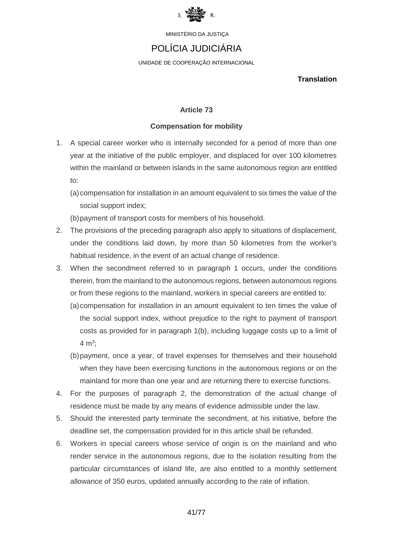

## POLÍCIA JUDICIÁRIA

UNIDADE DE COOPERAÇÃO INTERNACIONAL

**Translation**

#### **Article 73**

#### **Compensation for mobility**

- 1. A special career worker who is internally seconded for a period of more than one year at the initiative of the public employer, and displaced for over 100 kilometres within the mainland or between islands in the same autonomous region are entitled to:
	- (a)compensation for installation in an amount equivalent to six times the value of the social support index;

(b)payment of transport costs for members of his household.

- 2. The provisions of the preceding paragraph also apply to situations of displacement, under the conditions laid down, by more than 50 kilometres from the worker's habitual residence, in the event of an actual change of residence.
- 3. When the secondment referred to in paragraph 1 occurs, under the conditions therein, from the mainland to the autonomous regions, between autonomous regions or from these regions to the mainland, workers in special careers are entitled to:
	- (a)compensation for installation in an amount equivalent to ten times the value of the social support index, without prejudice to the right to payment of transport costs as provided for in paragraph 1(b), including luggage costs up to a limit of 4  $m^3$ ;
	- (b)payment, once a year, of travel expenses for themselves and their household when they have been exercising functions in the autonomous regions or on the mainland for more than one year and are returning there to exercise functions.
- 4. For the purposes of paragraph 2, the demonstration of the actual change of residence must be made by any means of evidence admissible under the law.
- 5. Should the interested party terminate the secondment, at his initiative, before the deadline set, the compensation provided for in this article shall be refunded.
- 6. Workers in special careers whose service of origin is on the mainland and who render service in the autonomous regions, due to the isolation resulting from the particular circumstances of island life, are also entitled to a monthly settlement allowance of 350 euros, updated annually according to the rate of inflation.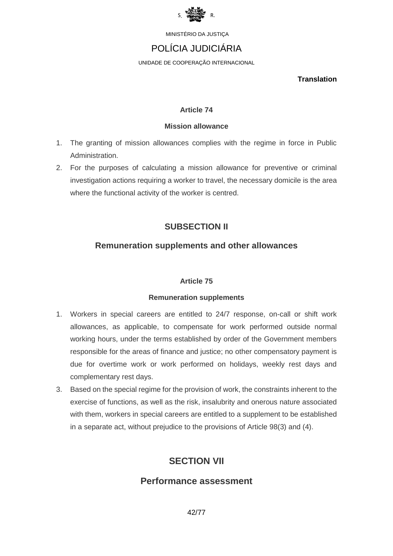

# POLÍCIA JUDICIÁRIA

UNIDADE DE COOPERAÇÃO INTERNACIONAL

**Translation**

#### **Article 74**

#### **Mission allowance**

- 1. The granting of mission allowances complies with the regime in force in Public Administration.
- 2. For the purposes of calculating a mission allowance for preventive or criminal investigation actions requiring a worker to travel, the necessary domicile is the area where the functional activity of the worker is centred.

## **SUBSECTION II**

### **Remuneration supplements and other allowances**

#### **Article 75**

#### **Remuneration supplements**

- 1. Workers in special careers are entitled to 24/7 response, on-call or shift work allowances, as applicable, to compensate for work performed outside normal working hours, under the terms established by order of the Government members responsible for the areas of finance and justice; no other compensatory payment is due for overtime work or work performed on holidays, weekly rest days and complementary rest days.
- 3. Based on the special regime for the provision of work, the constraints inherent to the exercise of functions, as well as the risk, insalubrity and onerous nature associated with them, workers in special careers are entitled to a supplement to be established in a separate act, without prejudice to the provisions of Article 98(3) and (4).

## **SECTION VII**

## **Performance assessment**

42/77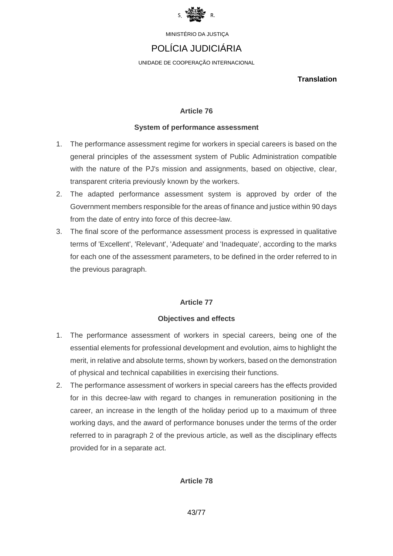

## POLÍCIA JUDICIÁRIA

UNIDADE DE COOPERAÇÃO INTERNACIONAL

**Translation**

#### **Article 76**

#### **System of performance assessment**

- 1. The performance assessment regime for workers in special careers is based on the general principles of the assessment system of Public Administration compatible with the nature of the PJ's mission and assignments, based on objective, clear, transparent criteria previously known by the workers.
- 2. The adapted performance assessment system is approved by order of the Government members responsible for the areas of finance and justice within 90 days from the date of entry into force of this decree-law.
- 3. The final score of the performance assessment process is expressed in qualitative terms of 'Excellent', 'Relevant', 'Adequate' and 'Inadequate', according to the marks for each one of the assessment parameters, to be defined in the order referred to in the previous paragraph.

#### **Article 77**

#### **Objectives and effects**

- 1. The performance assessment of workers in special careers, being one of the essential elements for professional development and evolution, aims to highlight the merit, in relative and absolute terms, shown by workers, based on the demonstration of physical and technical capabilities in exercising their functions.
- 2. The performance assessment of workers in special careers has the effects provided for in this decree-law with regard to changes in remuneration positioning in the career, an increase in the length of the holiday period up to a maximum of three working days, and the award of performance bonuses under the terms of the order referred to in paragraph 2 of the previous article, as well as the disciplinary effects provided for in a separate act.

#### **Article 78**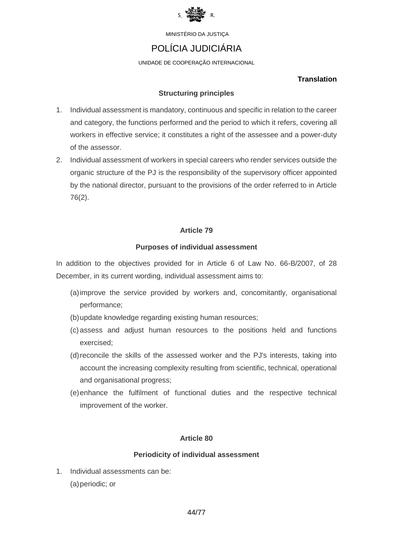

## POLÍCIA JUDICIÁRIA

UNIDADE DE COOPERAÇÃO INTERNACIONAL

#### **Translation**

#### **Structuring principles**

- 1. Individual assessment is mandatory, continuous and specific in relation to the career and category, the functions performed and the period to which it refers, covering all workers in effective service; it constitutes a right of the assessee and a power-duty of the assessor.
- 2. Individual assessment of workers in special careers who render services outside the organic structure of the PJ is the responsibility of the supervisory officer appointed by the national director, pursuant to the provisions of the order referred to in Article 76(2).

#### **Article 79**

#### **Purposes of individual assessment**

In addition to the objectives provided for in Article 6 of Law No. 66-B/2007, of 28 December, in its current wording, individual assessment aims to:

- (a)improve the service provided by workers and, concomitantly, organisational performance;
- (b)update knowledge regarding existing human resources;
- (c) assess and adjust human resources to the positions held and functions exercised;
- (d)reconcile the skills of the assessed worker and the PJ's interests, taking into account the increasing complexity resulting from scientific, technical, operational and organisational progress;
- (e)enhance the fulfilment of functional duties and the respective technical improvement of the worker.

#### **Article 80**

#### **Periodicity of individual assessment**

1. Individual assessments can be: (a) periodic; or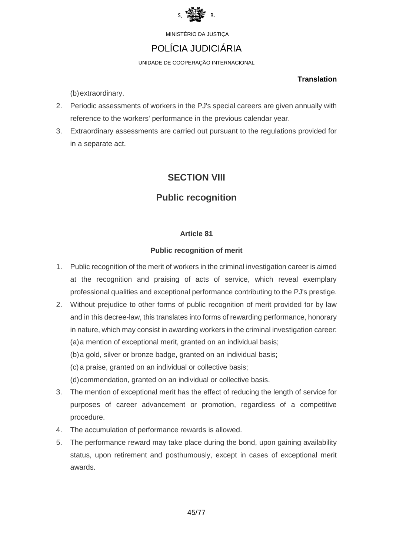

## POLÍCIA JUDICIÁRIA

UNIDADE DE COOPERAÇÃO INTERNACIONAL

#### **Translation**

(b)extraordinary.

- 2. Periodic assessments of workers in the PJ's special careers are given annually with reference to the workers' performance in the previous calendar year.
- 3. Extraordinary assessments are carried out pursuant to the regulations provided for in a separate act.

## **SECTION VIII**

## **Public recognition**

#### **Article 81**

#### **Public recognition of merit**

- 1. Public recognition of the merit of workers in the criminal investigation career is aimed at the recognition and praising of acts of service, which reveal exemplary professional qualities and exceptional performance contributing to the PJ's prestige.
- 2. Without prejudice to other forms of public recognition of merit provided for by law and in this decree-law, this translates into forms of rewarding performance, honorary in nature, which may consist in awarding workers in the criminal investigation career: (a)a mention of exceptional merit, granted on an individual basis; (b)a gold, silver or bronze badge, granted on an individual basis;

(c) a praise, granted on an individual or collective basis;

(d)commendation, granted on an individual or collective basis.

- 3. The mention of exceptional merit has the effect of reducing the length of service for purposes of career advancement or promotion, regardless of a competitive procedure.
- 4. The accumulation of performance rewards is allowed.
- 5. The performance reward may take place during the bond, upon gaining availability status, upon retirement and posthumously, except in cases of exceptional merit awards.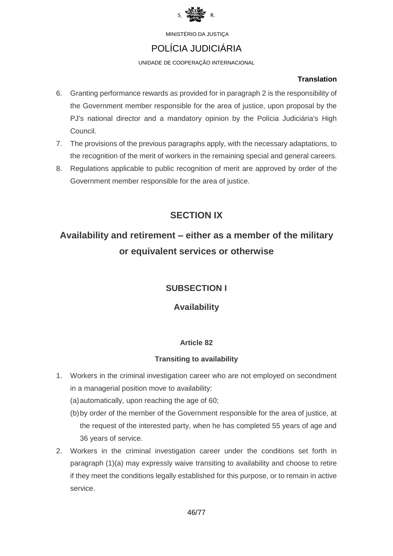

## POLÍCIA JUDICIÁRIA

UNIDADE DE COOPERAÇÃO INTERNACIONAL

#### **Translation**

- 6. Granting performance rewards as provided for in paragraph 2 is the responsibility of the Government member responsible for the area of justice, upon proposal by the PJ's national director and a mandatory opinion by the Polícia Judiciária's High Council.
- 7. The provisions of the previous paragraphs apply, with the necessary adaptations, to the recognition of the merit of workers in the remaining special and general careers.
- 8. Regulations applicable to public recognition of merit are approved by order of the Government member responsible for the area of justice.

# **SECTION IX**

# **Availability and retirement – either as a member of the military or equivalent services or otherwise**

## **SUBSECTION I**

## **Availability**

### **Article 82**

### **Transiting to availability**

- 1. Workers in the criminal investigation career who are not employed on secondment in a managerial position move to availability:
	- (a)automatically, upon reaching the age of 60;
	- (b)by order of the member of the Government responsible for the area of justice, at the request of the interested party, when he has completed 55 years of age and 36 years of service.
- 2. Workers in the criminal investigation career under the conditions set forth in paragraph (1)(a) may expressly waive transiting to availability and choose to retire if they meet the conditions legally established for this purpose, or to remain in active service.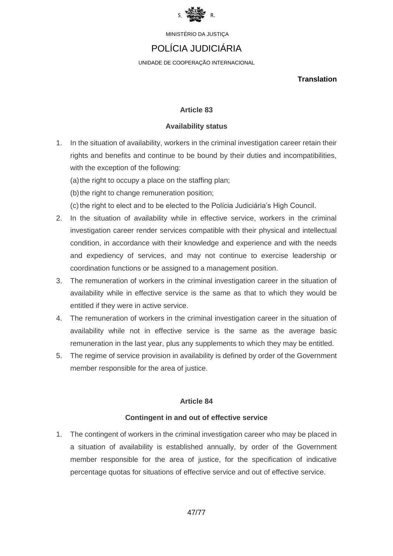

## POLÍCIA JUDICIÁRIA

UNIDADE DE COOPERAÇÃO INTERNACIONAL

**Translation**

#### **Article 83**

#### **Availability status**

1. In the situation of availability, workers in the criminal investigation career retain their rights and benefits and continue to be bound by their duties and incompatibilities, with the exception of the following:

(a) the right to occupy a place on the staffing plan;

(b) the right to change remuneration position;

- (c) the right to elect and to be elected to the Polícia Judiciária's High Council.
- 2. In the situation of availability while in effective service, workers in the criminal investigation career render services compatible with their physical and intellectual condition, in accordance with their knowledge and experience and with the needs and expediency of services, and may not continue to exercise leadership or coordination functions or be assigned to a management position.
- 3. The remuneration of workers in the criminal investigation career in the situation of availability while in effective service is the same as that to which they would be entitled if they were in active service.
- 4. The remuneration of workers in the criminal investigation career in the situation of availability while not in effective service is the same as the average basic remuneration in the last year, plus any supplements to which they may be entitled.
- 5. The regime of service provision in availability is defined by order of the Government member responsible for the area of justice.

#### **Article 84**

#### **Contingent in and out of effective service**

1. The contingent of workers in the criminal investigation career who may be placed in a situation of availability is established annually, by order of the Government member responsible for the area of justice, for the specification of indicative percentage quotas for situations of effective service and out of effective service.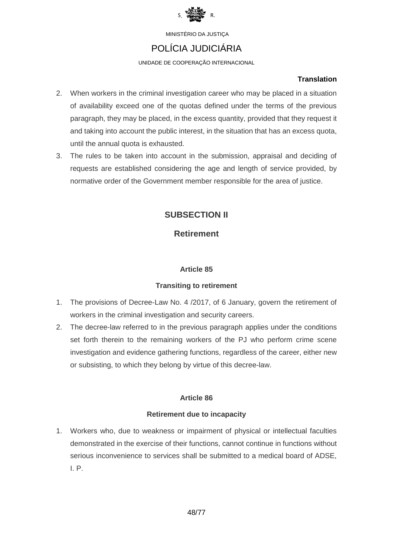

## POLÍCIA JUDICIÁRIA

UNIDADE DE COOPERAÇÃO INTERNACIONAL

#### **Translation**

- 2. When workers in the criminal investigation career who may be placed in a situation of availability exceed one of the quotas defined under the terms of the previous paragraph, they may be placed, in the excess quantity, provided that they request it and taking into account the public interest, in the situation that has an excess quota, until the annual quota is exhausted.
- 3. The rules to be taken into account in the submission, appraisal and deciding of requests are established considering the age and length of service provided, by normative order of the Government member responsible for the area of justice.

## **SUBSECTION II**

### **Retirement**

#### **Article 85**

#### **Transiting to retirement**

- 1. The provisions of Decree-Law No. 4 /2017, of 6 January, govern the retirement of workers in the criminal investigation and security careers.
- 2. The decree-law referred to in the previous paragraph applies under the conditions set forth therein to the remaining workers of the PJ who perform crime scene investigation and evidence gathering functions, regardless of the career, either new or subsisting, to which they belong by virtue of this decree-law.

### **Article 86**

#### **Retirement due to incapacity**

1. Workers who, due to weakness or impairment of physical or intellectual faculties demonstrated in the exercise of their functions, cannot continue in functions without serious inconvenience to services shall be submitted to a medical board of ADSE, I. P.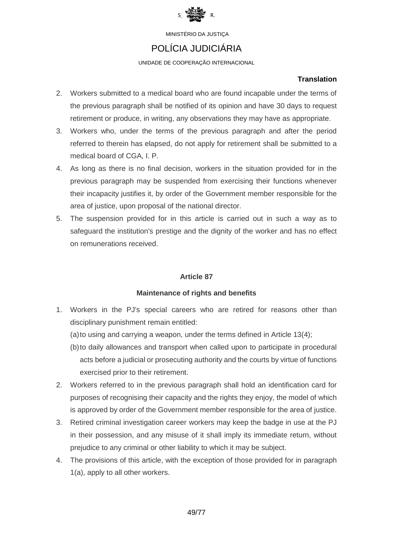

## POLÍCIA JUDICIÁRIA

UNIDADE DE COOPERAÇÃO INTERNACIONAL

#### **Translation**

- 2. Workers submitted to a medical board who are found incapable under the terms of the previous paragraph shall be notified of its opinion and have 30 days to request retirement or produce, in writing, any observations they may have as appropriate.
- 3. Workers who, under the terms of the previous paragraph and after the period referred to therein has elapsed, do not apply for retirement shall be submitted to a medical board of CGA, I. P.
- 4. As long as there is no final decision, workers in the situation provided for in the previous paragraph may be suspended from exercising their functions whenever their incapacity justifies it, by order of the Government member responsible for the area of justice, upon proposal of the national director.
- 5. The suspension provided for in this article is carried out in such a way as to safeguard the institution's prestige and the dignity of the worker and has no effect on remunerations received.

#### **Article 87**

#### **Maintenance of rights and benefits**

- 1. Workers in the PJ's special careers who are retired for reasons other than disciplinary punishment remain entitled:
	- (a)to using and carrying a weapon, under the terms defined in Article 13(4);
	- (b)to daily allowances and transport when called upon to participate in procedural acts before a judicial or prosecuting authority and the courts by virtue of functions exercised prior to their retirement.
- 2. Workers referred to in the previous paragraph shall hold an identification card for purposes of recognising their capacity and the rights they enjoy, the model of which is approved by order of the Government member responsible for the area of justice.
- 3. Retired criminal investigation career workers may keep the badge in use at the PJ in their possession, and any misuse of it shall imply its immediate return, without prejudice to any criminal or other liability to which it may be subject.
- 4. The provisions of this article, with the exception of those provided for in paragraph 1(a), apply to all other workers.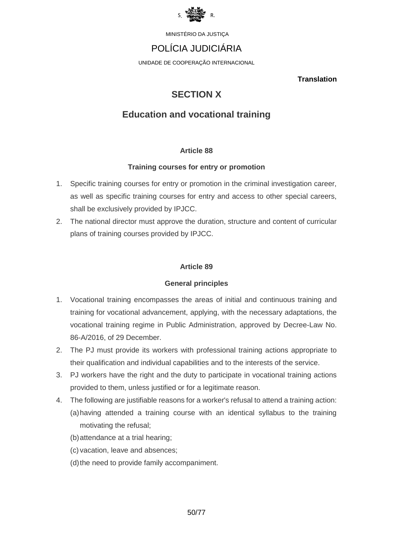

# POLÍCIA JUDICIÁRIA

UNIDADE DE COOPERAÇÃO INTERNACIONAL

**Translation**

# **SECTION X**

## **Education and vocational training**

#### **Article 88**

#### **Training courses for entry or promotion**

- 1. Specific training courses for entry or promotion in the criminal investigation career, as well as specific training courses for entry and access to other special careers, shall be exclusively provided by IPJCC.
- 2. The national director must approve the duration, structure and content of curricular plans of training courses provided by IPJCC.

#### **Article 89**

#### **General principles**

- 1. Vocational training encompasses the areas of initial and continuous training and training for vocational advancement, applying, with the necessary adaptations, the vocational training regime in Public Administration, approved by Decree-Law No. 86-A/2016, of 29 December.
- 2. The PJ must provide its workers with professional training actions appropriate to their qualification and individual capabilities and to the interests of the service.
- 3. PJ workers have the right and the duty to participate in vocational training actions provided to them, unless justified or for a legitimate reason.
- 4. The following are justifiable reasons for a worker's refusal to attend a training action: (a)having attended a training course with an identical syllabus to the training motivating the refusal;
	- (b)attendance at a trial hearing;
	- (c) vacation, leave and absences;
	- (d) the need to provide family accompaniment.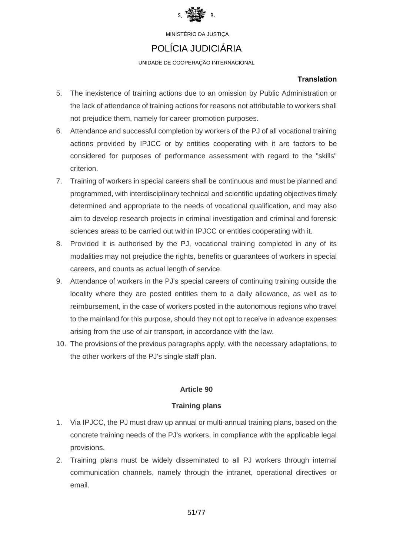

## POLÍCIA JUDICIÁRIA

UNIDADE DE COOPERAÇÃO INTERNACIONAL

#### **Translation**

- 5. The inexistence of training actions due to an omission by Public Administration or the lack of attendance of training actions for reasons not attributable to workers shall not prejudice them, namely for career promotion purposes.
- 6. Attendance and successful completion by workers of the PJ of all vocational training actions provided by IPJCC or by entities cooperating with it are factors to be considered for purposes of performance assessment with regard to the "skills" criterion.
- 7. Training of workers in special careers shall be continuous and must be planned and programmed, with interdisciplinary technical and scientific updating objectives timely determined and appropriate to the needs of vocational qualification, and may also aim to develop research projects in criminal investigation and criminal and forensic sciences areas to be carried out within IPJCC or entities cooperating with it.
- 8. Provided it is authorised by the PJ, vocational training completed in any of its modalities may not prejudice the rights, benefits or guarantees of workers in special careers, and counts as actual length of service.
- 9. Attendance of workers in the PJ's special careers of continuing training outside the locality where they are posted entitles them to a daily allowance, as well as to reimbursement, in the case of workers posted in the autonomous regions who travel to the mainland for this purpose, should they not opt to receive in advance expenses arising from the use of air transport, in accordance with the law.
- 10. The provisions of the previous paragraphs apply, with the necessary adaptations, to the other workers of the PJ's single staff plan.

### **Article 90**

#### **Training plans**

- 1. Via IPJCC, the PJ must draw up annual or multi-annual training plans, based on the concrete training needs of the PJ's workers, in compliance with the applicable legal provisions.
- 2. Training plans must be widely disseminated to all PJ workers through internal communication channels, namely through the intranet, operational directives or email.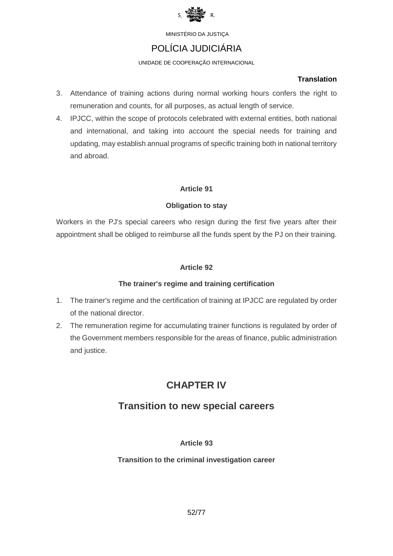

## POLÍCIA JUDICIÁRIA

UNIDADE DE COOPERAÇÃO INTERNACIONAL

#### **Translation**

- 3. Attendance of training actions during normal working hours confers the right to remuneration and counts, for all purposes, as actual length of service.
- 4. IPJCC, within the scope of protocols celebrated with external entities, both national and international, and taking into account the special needs for training and updating, may establish annual programs of specific training both in national territory and abroad.

#### **Article 91**

#### **Obligation to stay**

Workers in the PJ's special careers who resign during the first five years after their appointment shall be obliged to reimburse all the funds spent by the PJ on their training.

#### **Article 92**

#### **The trainer's regime and training certification**

- 1. The trainer's regime and the certification of training at IPJCC are regulated by order of the national director.
- 2. The remuneration regime for accumulating trainer functions is regulated by order of the Government members responsible for the areas of finance, public administration and justice.

# **CHAPTER IV**

## **Transition to new special careers**

#### **Article 93**

#### **Transition to the criminal investigation career**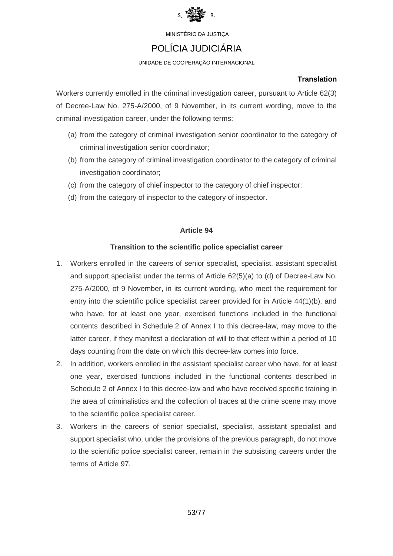

## POLÍCIA JUDICIÁRIA

#### UNIDADE DE COOPERAÇÃO INTERNACIONAL

#### **Translation**

Workers currently enrolled in the criminal investigation career, pursuant to Article 62(3) of Decree-Law No. 275-A/2000, of 9 November, in its current wording, move to the criminal investigation career, under the following terms:

- (a) from the category of criminal investigation senior coordinator to the category of criminal investigation senior coordinator;
- (b) from the category of criminal investigation coordinator to the category of criminal investigation coordinator;
- (c) from the category of chief inspector to the category of chief inspector;
- (d) from the category of inspector to the category of inspector.

#### **Article 94**

#### **Transition to the scientific police specialist career**

- 1. Workers enrolled in the careers of senior specialist, specialist, assistant specialist and support specialist under the terms of Article 62(5)(a) to (d) of Decree-Law No. 275-A/2000, of 9 November, in its current wording, who meet the requirement for entry into the scientific police specialist career provided for in Article 44(1)(b), and who have, for at least one year, exercised functions included in the functional contents described in Schedule 2 of Annex I to this decree-law, may move to the latter career, if they manifest a declaration of will to that effect within a period of 10 days counting from the date on which this decree-law comes into force.
- 2. In addition, workers enrolled in the assistant specialist career who have, for at least one year, exercised functions included in the functional contents described in Schedule 2 of Annex I to this decree-law and who have received specific training in the area of criminalistics and the collection of traces at the crime scene may move to the scientific police specialist career.
- 3. Workers in the careers of senior specialist, specialist, assistant specialist and support specialist who, under the provisions of the previous paragraph, do not move to the scientific police specialist career, remain in the subsisting careers under the terms of Article 97.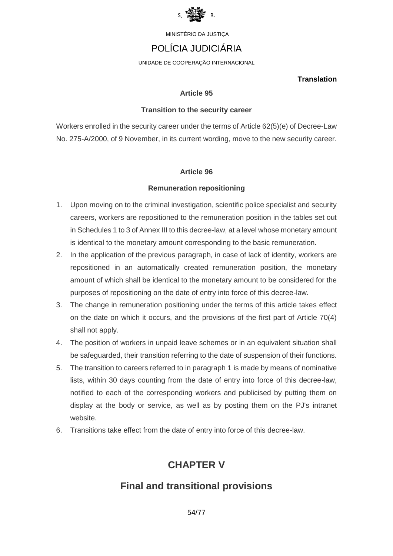

## POLÍCIA JUDICIÁRIA

UNIDADE DE COOPERAÇÃO INTERNACIONAL

#### **Translation**

#### **Article 95**

#### **Transition to the security career**

Workers enrolled in the security career under the terms of Article 62(5)(e) of Decree-Law No. 275-A/2000, of 9 November, in its current wording, move to the new security career.

#### **Article 96**

#### **Remuneration repositioning**

- 1. Upon moving on to the criminal investigation, scientific police specialist and security careers, workers are repositioned to the remuneration position in the tables set out in Schedules 1 to 3 of Annex III to this decree-law, at a level whose monetary amount is identical to the monetary amount corresponding to the basic remuneration.
- 2. In the application of the previous paragraph, in case of lack of identity, workers are repositioned in an automatically created remuneration position, the monetary amount of which shall be identical to the monetary amount to be considered for the purposes of repositioning on the date of entry into force of this decree-law.
- 3. The change in remuneration positioning under the terms of this article takes effect on the date on which it occurs, and the provisions of the first part of Article 70(4) shall not apply.
- 4. The position of workers in unpaid leave schemes or in an equivalent situation shall be safeguarded, their transition referring to the date of suspension of their functions.
- 5. The transition to careers referred to in paragraph 1 is made by means of nominative lists, within 30 days counting from the date of entry into force of this decree-law, notified to each of the corresponding workers and publicised by putting them on display at the body or service, as well as by posting them on the PJ's intranet website.
- 6. Transitions take effect from the date of entry into force of this decree-law.

# **CHAPTER V**

## **Final and transitional provisions**

54/77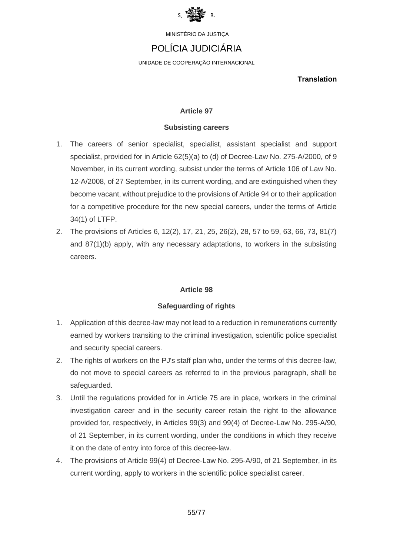

## POLÍCIA JUDICIÁRIA

UNIDADE DE COOPERAÇÃO INTERNACIONAL

**Translation**

#### **Article 97**

#### **Subsisting careers**

- 1. The careers of senior specialist, specialist, assistant specialist and support specialist, provided for in Article 62(5)(a) to (d) of Decree-Law No. 275-A/2000, of 9 November, in its current wording, subsist under the terms of Article 106 of Law No. 12-A/2008, of 27 September, in its current wording, and are extinguished when they become vacant, without prejudice to the provisions of Article 94 or to their application for a competitive procedure for the new special careers, under the terms of Article 34(1) of LTFP.
- 2. The provisions of Articles 6, 12(2), 17, 21, 25, 26(2), 28, 57 to 59, 63, 66, 73, 81(7) and 87(1)(b) apply, with any necessary adaptations, to workers in the subsisting careers.

#### **Article 98**

#### **Safeguarding of rights**

- 1. Application of this decree-law may not lead to a reduction in remunerations currently earned by workers transiting to the criminal investigation, scientific police specialist and security special careers.
- 2. The rights of workers on the PJ's staff plan who, under the terms of this decree-law, do not move to special careers as referred to in the previous paragraph, shall be safeguarded.
- 3. Until the regulations provided for in Article 75 are in place, workers in the criminal investigation career and in the security career retain the right to the allowance provided for, respectively, in Articles 99(3) and 99(4) of Decree-Law No. 295-A/90, of 21 September, in its current wording, under the conditions in which they receive it on the date of entry into force of this decree-law.
- 4. The provisions of Article 99(4) of Decree-Law No. 295-A/90, of 21 September, in its current wording, apply to workers in the scientific police specialist career.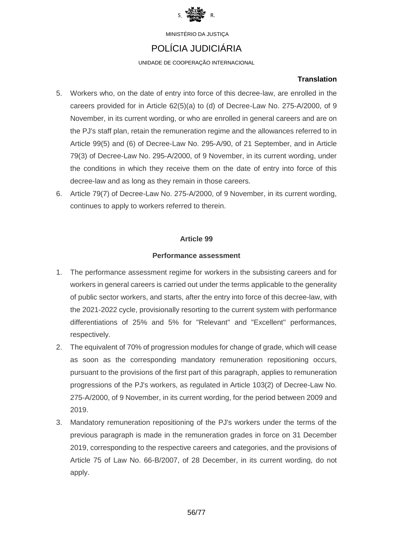

## POLÍCIA JUDICIÁRIA

UNIDADE DE COOPERAÇÃO INTERNACIONAL

#### **Translation**

- 5. Workers who, on the date of entry into force of this decree-law, are enrolled in the careers provided for in Article 62(5)(a) to (d) of Decree-Law No. 275-A/2000, of 9 November, in its current wording, or who are enrolled in general careers and are on the PJ's staff plan, retain the remuneration regime and the allowances referred to in Article 99(5) and (6) of Decree-Law No. 295-A/90, of 21 September, and in Article 79(3) of Decree-Law No. 295-A/2000, of 9 November, in its current wording, under the conditions in which they receive them on the date of entry into force of this decree-law and as long as they remain in those careers.
- 6. Article 79(7) of Decree-Law No. 275-A/2000, of 9 November, in its current wording, continues to apply to workers referred to therein.

#### **Article 99**

#### **Performance assessment**

- 1. The performance assessment regime for workers in the subsisting careers and for workers in general careers is carried out under the terms applicable to the generality of public sector workers, and starts, after the entry into force of this decree-law, with the 2021-2022 cycle, provisionally resorting to the current system with performance differentiations of 25% and 5% for "Relevant" and "Excellent" performances, respectively.
- 2. The equivalent of 70% of progression modules for change of grade, which will cease as soon as the corresponding mandatory remuneration repositioning occurs, pursuant to the provisions of the first part of this paragraph, applies to remuneration progressions of the PJ's workers, as regulated in Article 103(2) of Decree-Law No. 275-A/2000, of 9 November, in its current wording, for the period between 2009 and 2019.
- 3. Mandatory remuneration repositioning of the PJ's workers under the terms of the previous paragraph is made in the remuneration grades in force on 31 December 2019, corresponding to the respective careers and categories, and the provisions of Article 75 of Law No. 66-B/2007, of 28 December, in its current wording, do not apply.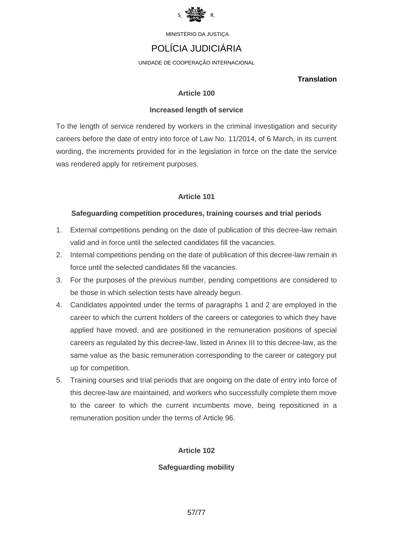

## POLÍCIA JUDICIÁRIA

UNIDADE DE COOPERAÇÃO INTERNACIONAL

#### **Translation**

#### **Article 100**

#### **Increased length of service**

To the length of service rendered by workers in the criminal investigation and security careers before the date of entry into force of Law No. 11/2014, of 6 March, in its current wording, the increments provided for in the legislation in force on the date the service was rendered apply for retirement purposes.

#### **Article 101**

#### **Safeguarding competition procedures, training courses and trial periods**

- 1. External competitions pending on the date of publication of this decree-law remain valid and in force until the selected candidates fill the vacancies.
- 2. Internal competitions pending on the date of publication of this decree-law remain in force until the selected candidates fill the vacancies.
- 3. For the purposes of the previous number, pending competitions are considered to be those in which selection tests have already begun.
- 4. Candidates appointed under the terms of paragraphs 1 and 2 are employed in the career to which the current holders of the careers or categories to which they have applied have moved, and are positioned in the remuneration positions of special careers as regulated by this decree-law, listed in Annex III to this decree-law, as the same value as the basic remuneration corresponding to the career or category put up for competition.
- 5. Training courses and trial periods that are ongoing on the date of entry into force of this decree-law are maintained, and workers who successfully complete them move to the career to which the current incumbents move, being repositioned in a remuneration position under the terms of Article 96.

#### **Article 102**

#### **Safeguarding mobility**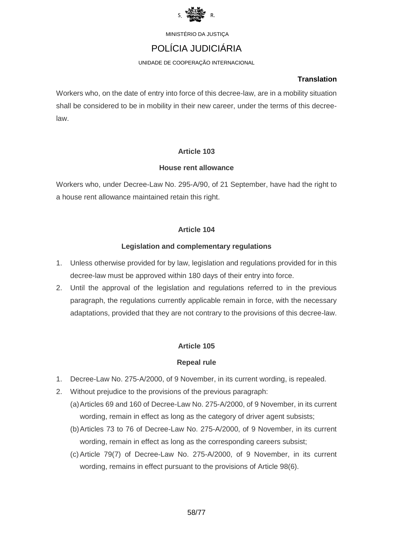

## POLÍCIA JUDICIÁRIA

UNIDADE DE COOPERAÇÃO INTERNACIONAL

#### **Translation**

Workers who, on the date of entry into force of this decree-law, are in a mobility situation shall be considered to be in mobility in their new career, under the terms of this decreelaw.

#### **Article 103**

#### **House rent allowance**

Workers who, under Decree-Law No. 295-A/90, of 21 September, have had the right to a house rent allowance maintained retain this right.

#### **Article 104**

#### **Legislation and complementary regulations**

- 1. Unless otherwise provided for by law, legislation and regulations provided for in this decree-law must be approved within 180 days of their entry into force.
- 2. Until the approval of the legislation and regulations referred to in the previous paragraph, the regulations currently applicable remain in force, with the necessary adaptations, provided that they are not contrary to the provisions of this decree-law.

#### **Article 105**

#### **Repeal rule**

- 1. Decree-Law No. 275-A/2000, of 9 November, in its current wording, is repealed.
- 2. Without prejudice to the provisions of the previous paragraph:
	- (a)Articles 69 and 160 of Decree-Law No. 275-A/2000, of 9 November, in its current wording, remain in effect as long as the category of driver agent subsists;
		- (b)Articles 73 to 76 of Decree-Law No. 275-A/2000, of 9 November, in its current wording, remain in effect as long as the corresponding careers subsist;
		- (c)Article 79(7) of Decree-Law No. 275-A/2000, of 9 November, in its current wording, remains in effect pursuant to the provisions of Article 98(6).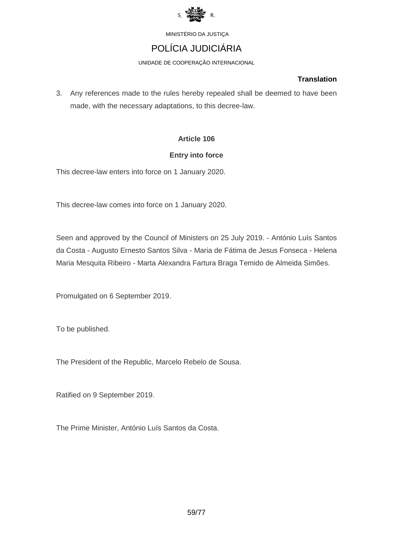

# POLÍCIA JUDICIÁRIA

UNIDADE DE COOPERAÇÃO INTERNACIONAL

#### **Translation**

3. Any references made to the rules hereby repealed shall be deemed to have been made, with the necessary adaptations, to this decree-law.

#### **Article 106**

#### **Entry into force**

This decree-law enters into force on 1 January 2020.

This decree-law comes into force on 1 January 2020.

Seen and approved by the Council of Ministers on 25 July 2019. - António Luís Santos da Costa - Augusto Ernesto Santos Silva - Maria de Fátima de Jesus Fonseca - Helena Maria Mesquita Ribeiro - Marta Alexandra Fartura Braga Temido de Almeida Simões.

Promulgated on 6 September 2019.

To be published.

The President of the Republic, Marcelo Rebelo de Sousa.

Ratified on 9 September 2019.

The Prime Minister, António Luís Santos da Costa.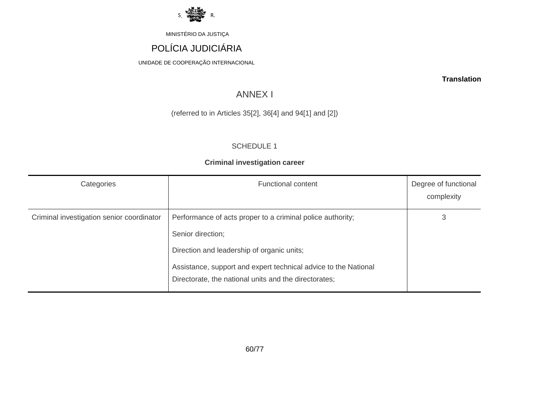

# POLÍCIA JUDICIÁRIA

UNIDADE DE COOPERAÇÃO INTERNACIONAL

**Translation**

## ANNEX I

### (referred to in Articles 35[2], 36[4] and 94[1] and [2])

#### SCHEDULE 1

#### **Criminal investigation career**

| Categories                                | <b>Functional content</b>                                                                                                                                                                                                                                 | Degree of functional<br>complexity |
|-------------------------------------------|-----------------------------------------------------------------------------------------------------------------------------------------------------------------------------------------------------------------------------------------------------------|------------------------------------|
| Criminal investigation senior coordinator | Performance of acts proper to a criminal police authority;<br>Senior direction;<br>Direction and leadership of organic units;<br>Assistance, support and expert technical advice to the National<br>Directorate, the national units and the directorates; | 3                                  |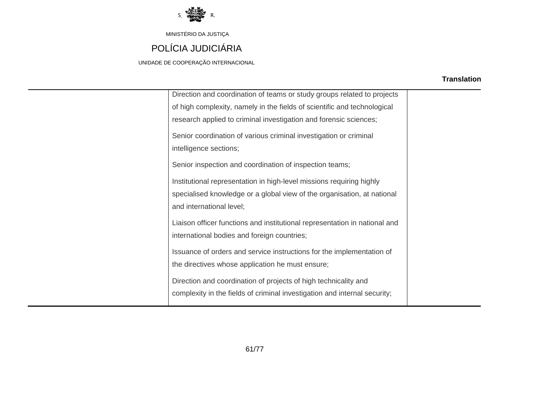

# POLÍCIA JUDICIÁRIA

UNIDADE DE COOPERAÇÃO INTERNACIONAL

| Direction and coordination of teams or study groups related to projects    |  |
|----------------------------------------------------------------------------|--|
| of high complexity, namely in the fields of scientific and technological   |  |
| research applied to criminal investigation and forensic sciences;          |  |
| Senior coordination of various criminal investigation or criminal          |  |
| intelligence sections;                                                     |  |
|                                                                            |  |
| Senior inspection and coordination of inspection teams;                    |  |
| Institutional representation in high-level missions requiring highly       |  |
| specialised knowledge or a global view of the organisation, at national    |  |
| and international level;                                                   |  |
| Liaison officer functions and institutional representation in national and |  |
| international bodies and foreign countries;                                |  |
|                                                                            |  |
| Issuance of orders and service instructions for the implementation of      |  |
| the directives whose application he must ensure;                           |  |
| Direction and coordination of projects of high technicality and            |  |
| complexity in the fields of criminal investigation and internal security;  |  |
|                                                                            |  |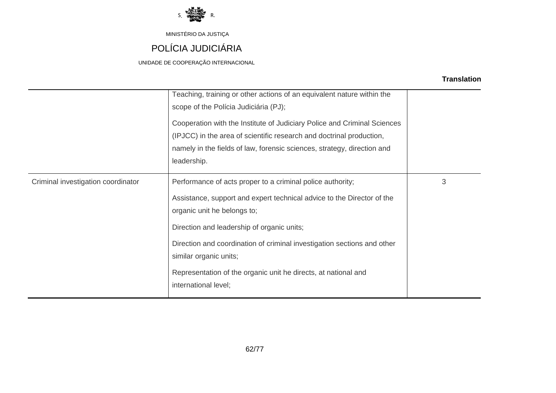

# POLÍCIA JUDICIÁRIA

UNIDADE DE COOPERAÇÃO INTERNACIONAL

|                                    | Teaching, training or other actions of an equivalent nature within the<br>scope of the Polícia Judiciária (PJ);<br>Cooperation with the Institute of Judiciary Police and Criminal Sciences<br>(IPJCC) in the area of scientific research and doctrinal production,<br>namely in the fields of law, forensic sciences, strategy, direction and<br>leadership.                                                    |   |
|------------------------------------|------------------------------------------------------------------------------------------------------------------------------------------------------------------------------------------------------------------------------------------------------------------------------------------------------------------------------------------------------------------------------------------------------------------|---|
| Criminal investigation coordinator | Performance of acts proper to a criminal police authority;<br>Assistance, support and expert technical advice to the Director of the<br>organic unit he belongs to;<br>Direction and leadership of organic units;<br>Direction and coordination of criminal investigation sections and other<br>similar organic units;<br>Representation of the organic unit he directs, at national and<br>international level; | 3 |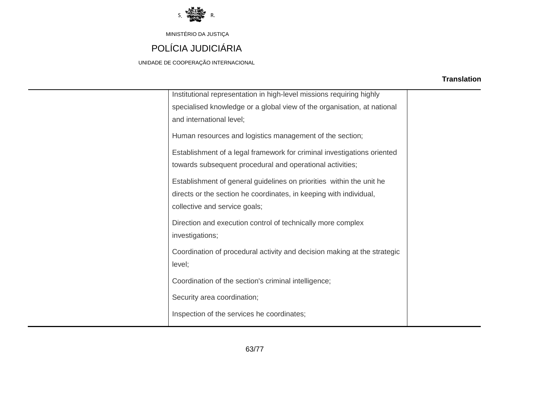

# POLÍCIA JUDICIÁRIA

UNIDADE DE COOPERAÇÃO INTERNACIONAL

| Institutional representation in high-level missions requiring highly     |  |
|--------------------------------------------------------------------------|--|
| specialised knowledge or a global view of the organisation, at national  |  |
| and international level;                                                 |  |
| Human resources and logistics management of the section;                 |  |
| Establishment of a legal framework for criminal investigations oriented  |  |
| towards subsequent procedural and operational activities;                |  |
| Establishment of general guidelines on priorities within the unit he     |  |
| directs or the section he coordinates, in keeping with individual,       |  |
| collective and service goals;                                            |  |
| Direction and execution control of technically more complex              |  |
| investigations;                                                          |  |
| Coordination of procedural activity and decision making at the strategic |  |
| level;                                                                   |  |
|                                                                          |  |
| Coordination of the section's criminal intelligence;                     |  |
| Security area coordination;                                              |  |
| Inspection of the services he coordinates;                               |  |
|                                                                          |  |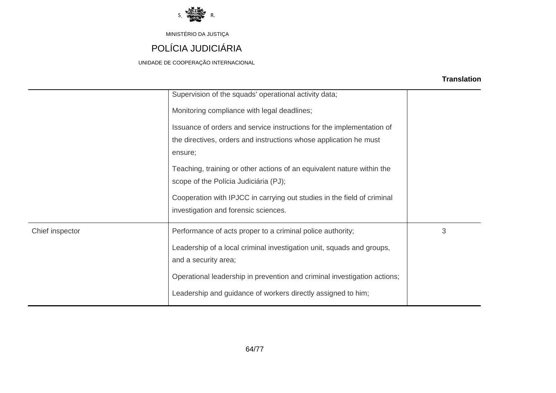

# POLÍCIA JUDICIÁRIA

UNIDADE DE COOPERAÇÃO INTERNACIONAL

|                 | Supervision of the squads' operational activity data;<br>Monitoring compliance with legal deadlines;<br>Issuance of orders and service instructions for the implementation of<br>the directives, orders and instructions whose application he must<br>ensure;<br>Teaching, training or other actions of an equivalent nature within the<br>scope of the Polícia Judiciária (PJ);<br>Cooperation with IPJCC in carrying out studies in the field of criminal<br>investigation and forensic sciences. |   |
|-----------------|-----------------------------------------------------------------------------------------------------------------------------------------------------------------------------------------------------------------------------------------------------------------------------------------------------------------------------------------------------------------------------------------------------------------------------------------------------------------------------------------------------|---|
| Chief inspector | Performance of acts proper to a criminal police authority;<br>Leadership of a local criminal investigation unit, squads and groups,<br>and a security area;<br>Operational leadership in prevention and criminal investigation actions;<br>Leadership and guidance of workers directly assigned to him;                                                                                                                                                                                             | 3 |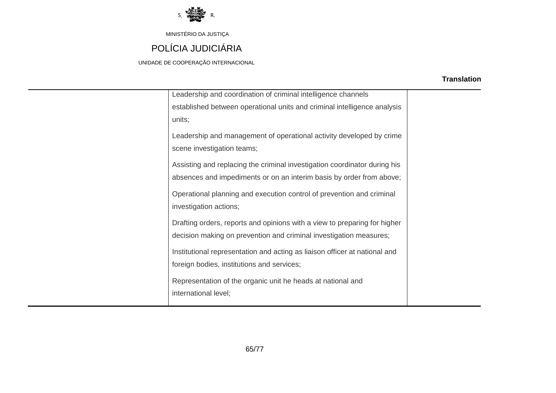

MINISTÉRIO DA JUSTIÇA POLÍCIA JUDICIÁRIA

UNIDADE DE COOPERAÇÃO INTERNACIONAL

| Leadership and coordination of criminal intelligence channels              |  |
|----------------------------------------------------------------------------|--|
| established between operational units and criminal intelligence analysis   |  |
| units;                                                                     |  |
| Leadership and management of operational activity developed by crime       |  |
| scene investigation teams;                                                 |  |
| Assisting and replacing the criminal investigation coordinator during his  |  |
| absences and impediments or on an interim basis by order from above;       |  |
| Operational planning and execution control of prevention and criminal      |  |
| investigation actions;                                                     |  |
|                                                                            |  |
| Drafting orders, reports and opinions with a view to preparing for higher  |  |
| decision making on prevention and criminal investigation measures;         |  |
| Institutional representation and acting as liaison officer at national and |  |
| foreign bodies, institutions and services;                                 |  |
| Representation of the organic unit he heads at national and                |  |
| international level;                                                       |  |
|                                                                            |  |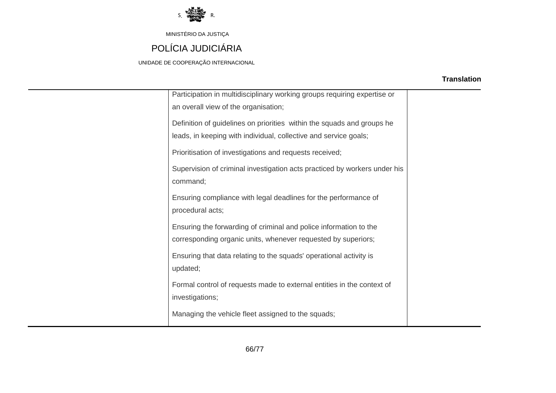

# POLÍCIA JUDICIÁRIA

UNIDADE DE COOPERAÇÃO INTERNACIONAL

| Participation in multidisciplinary working groups requiring expertise or  |  |
|---------------------------------------------------------------------------|--|
| an overall view of the organisation;                                      |  |
| Definition of guidelines on priorities within the squads and groups he    |  |
| leads, in keeping with individual, collective and service goals;          |  |
| Prioritisation of investigations and requests received;                   |  |
| Supervision of criminal investigation acts practiced by workers under his |  |
| command;                                                                  |  |
| Ensuring compliance with legal deadlines for the performance of           |  |
| procedural acts;                                                          |  |
| Ensuring the forwarding of criminal and police information to the         |  |
| corresponding organic units, whenever requested by superiors;             |  |
| Ensuring that data relating to the squads' operational activity is        |  |
| updated;                                                                  |  |
| Formal control of requests made to external entities in the context of    |  |
| investigations;                                                           |  |
| Managing the vehicle fleet assigned to the squads;                        |  |
|                                                                           |  |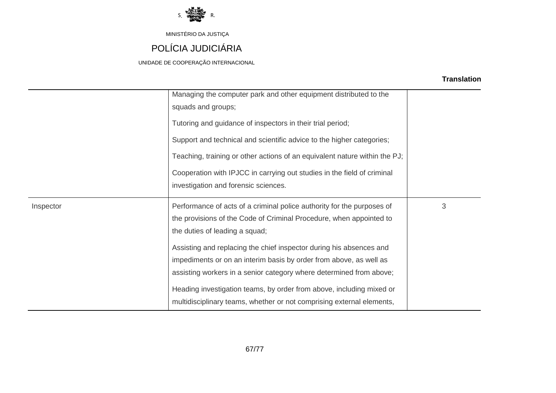

# POLÍCIA JUDICIÁRIA

UNIDADE DE COOPERAÇÃO INTERNACIONAL

| <b>Translation</b> |
|--------------------|
|--------------------|

|           | Managing the computer park and other equipment distributed to the<br>squads and groups; |   |
|-----------|-----------------------------------------------------------------------------------------|---|
|           | Tutoring and guidance of inspectors in their trial period;                              |   |
|           | Support and technical and scientific advice to the higher categories;                   |   |
|           | Teaching, training or other actions of an equivalent nature within the PJ;              |   |
|           | Cooperation with IPJCC in carrying out studies in the field of criminal                 |   |
|           | investigation and forensic sciences.                                                    |   |
| Inspector | Performance of acts of a criminal police authority for the purposes of                  | 3 |
|           | the provisions of the Code of Criminal Procedure, when appointed to                     |   |
|           | the duties of leading a squad;                                                          |   |
|           | Assisting and replacing the chief inspector during his absences and                     |   |
|           | impediments or on an interim basis by order from above, as well as                      |   |
|           |                                                                                         |   |
|           | assisting workers in a senior category where determined from above;                     |   |
|           | Heading investigation teams, by order from above, including mixed or                    |   |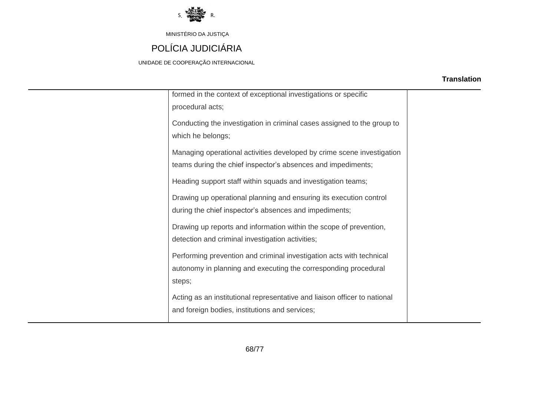

# POLÍCIA JUDICIÁRIA

UNIDADE DE COOPERAÇÃO INTERNACIONAL

| formed in the context of exceptional investigations or specific           |  |
|---------------------------------------------------------------------------|--|
| procedural acts;                                                          |  |
| Conducting the investigation in criminal cases assigned to the group to   |  |
| which he belongs;                                                         |  |
| Managing operational activities developed by crime scene investigation    |  |
| teams during the chief inspector's absences and impediments;              |  |
| Heading support staff within squads and investigation teams;              |  |
| Drawing up operational planning and ensuring its execution control        |  |
| during the chief inspector's absences and impediments;                    |  |
| Drawing up reports and information within the scope of prevention,        |  |
| detection and criminal investigation activities;                          |  |
| Performing prevention and criminal investigation acts with technical      |  |
| autonomy in planning and executing the corresponding procedural           |  |
| steps;                                                                    |  |
| Acting as an institutional representative and liaison officer to national |  |
| and foreign bodies, institutions and services;                            |  |
|                                                                           |  |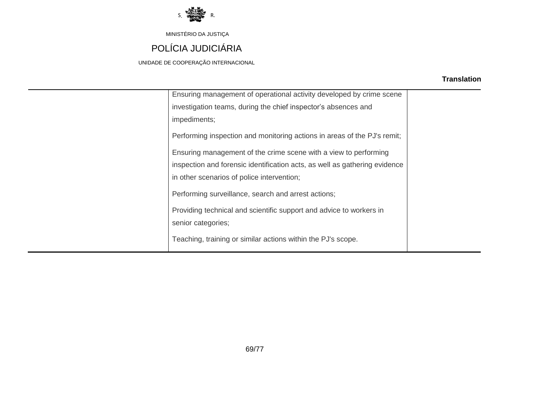

# POLÍCIA JUDICIÁRIA

UNIDADE DE COOPERAÇÃO INTERNACIONAL

| Ensuring management of operational activity developed by crime scene       |  |
|----------------------------------------------------------------------------|--|
| investigation teams, during the chief inspector's absences and             |  |
| impediments;                                                               |  |
| Performing inspection and monitoring actions in areas of the PJ's remit;   |  |
| Ensuring management of the crime scene with a view to performing           |  |
| inspection and forensic identification acts, as well as gathering evidence |  |
| in other scenarios of police intervention;                                 |  |
| Performing surveillance, search and arrest actions;                        |  |
| Providing technical and scientific support and advice to workers in        |  |
| senior categories;                                                         |  |
| Teaching, training or similar actions within the PJ's scope.               |  |
|                                                                            |  |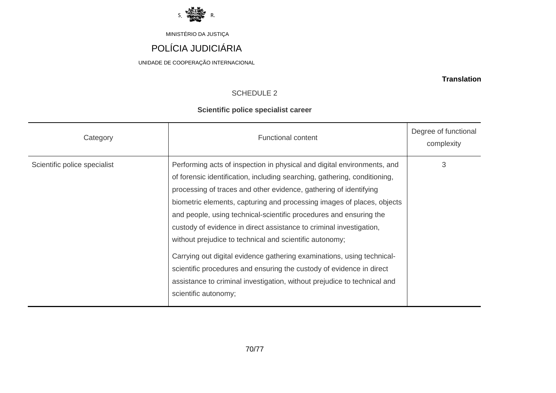

# POLÍCIA JUDICIÁRIA

UNIDADE DE COOPERAÇÃO INTERNACIONAL

#### **Translation**

### SCHEDULE 2

### **Scientific police specialist career**

| Category                     | <b>Functional content</b>                                                                                                                                                                                                                                                                                                                                                                                                                                                                                                                                                                                                                                                                                                                                         | Degree of functional<br>complexity |
|------------------------------|-------------------------------------------------------------------------------------------------------------------------------------------------------------------------------------------------------------------------------------------------------------------------------------------------------------------------------------------------------------------------------------------------------------------------------------------------------------------------------------------------------------------------------------------------------------------------------------------------------------------------------------------------------------------------------------------------------------------------------------------------------------------|------------------------------------|
| Scientific police specialist | Performing acts of inspection in physical and digital environments, and<br>of forensic identification, including searching, gathering, conditioning,<br>processing of traces and other evidence, gathering of identifying<br>biometric elements, capturing and processing images of places, objects<br>and people, using technical-scientific procedures and ensuring the<br>custody of evidence in direct assistance to criminal investigation,<br>without prejudice to technical and scientific autonomy;<br>Carrying out digital evidence gathering examinations, using technical-<br>scientific procedures and ensuring the custody of evidence in direct<br>assistance to criminal investigation, without prejudice to technical and<br>scientific autonomy; | 3                                  |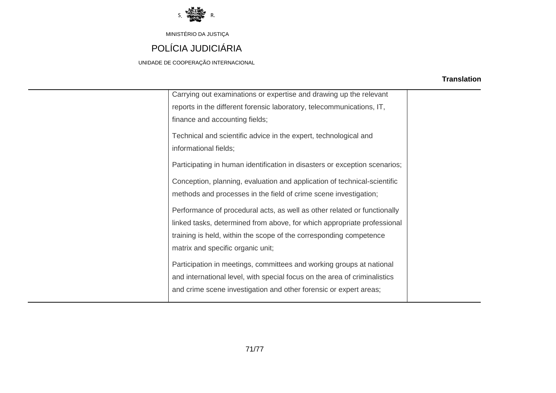

# POLÍCIA JUDICIÁRIA

UNIDADE DE COOPERAÇÃO INTERNACIONAL

| Carrying out examinations or expertise and drawing up the relevant         |  |
|----------------------------------------------------------------------------|--|
| reports in the different forensic laboratory, telecommunications, IT,      |  |
| finance and accounting fields;                                             |  |
| Technical and scientific advice in the expert, technological and           |  |
| informational fields;                                                      |  |
|                                                                            |  |
| Participating in human identification in disasters or exception scenarios; |  |
| Conception, planning, evaluation and application of technical-scientific   |  |
| methods and processes in the field of crime scene investigation;           |  |
|                                                                            |  |
| Performance of procedural acts, as well as other related or functionally   |  |
| linked tasks, determined from above, for which appropriate professional    |  |
| training is held, within the scope of the corresponding competence         |  |
| matrix and specific organic unit;                                          |  |
| Participation in meetings, committees and working groups at national       |  |
| and international level, with special focus on the area of criminalistics  |  |
| and crime scene investigation and other forensic or expert areas;          |  |
|                                                                            |  |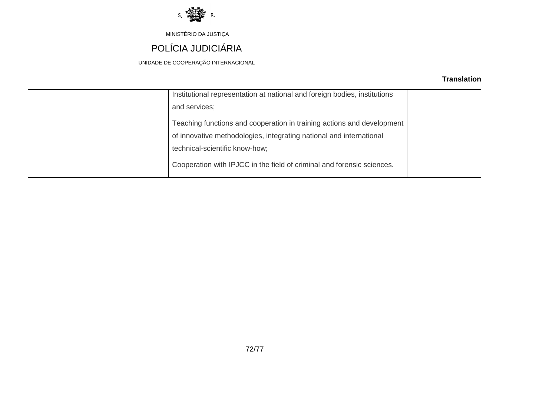

# POLÍCIA JUDICIÁRIA

UNIDADE DE COOPERAÇÃO INTERNACIONAL

| Institutional representation at national and foreign bodies, institutions |  |
|---------------------------------------------------------------------------|--|
| and services;                                                             |  |
|                                                                           |  |
| Teaching functions and cooperation in training actions and development    |  |
| of innovative methodologies, integrating national and international       |  |
| technical-scientific know-how;                                            |  |
|                                                                           |  |
| Cooperation with IPJCC in the field of criminal and forensic sciences.    |  |
|                                                                           |  |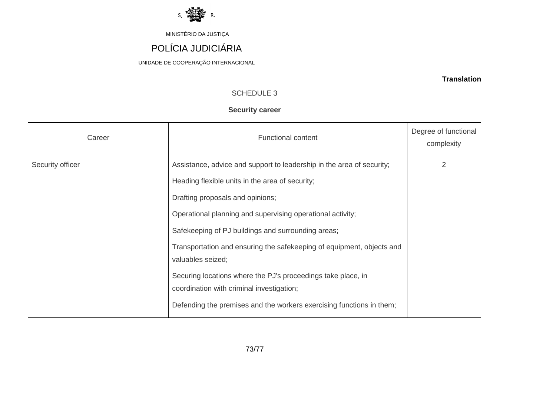

# POLÍCIA JUDICIÁRIA

UNIDADE DE COOPERAÇÃO INTERNACIONAL

**Translation**

## SCHEDULE 3

### **Security career**

| Career           | <b>Functional content</b>                                             | Degree of functional<br>complexity |  |  |  |  |  |
|------------------|-----------------------------------------------------------------------|------------------------------------|--|--|--|--|--|
| Security officer | Assistance, advice and support to leadership in the area of security; | $\overline{2}$                     |  |  |  |  |  |
|                  | Heading flexible units in the area of security;                       |                                    |  |  |  |  |  |
|                  | Drafting proposals and opinions;                                      |                                    |  |  |  |  |  |
|                  | Operational planning and supervising operational activity;            |                                    |  |  |  |  |  |
|                  | Safekeeping of PJ buildings and surrounding areas;                    |                                    |  |  |  |  |  |
|                  | Transportation and ensuring the safekeeping of equipment, objects and |                                    |  |  |  |  |  |
|                  | valuables seized;                                                     |                                    |  |  |  |  |  |
|                  | Securing locations where the PJ's proceedings take place, in          |                                    |  |  |  |  |  |
|                  | coordination with criminal investigation;                             |                                    |  |  |  |  |  |
|                  | Defending the premises and the workers exercising functions in them;  |                                    |  |  |  |  |  |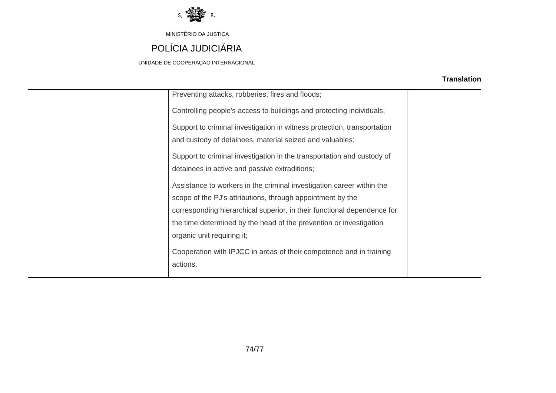

# POLÍCIA JUDICIÁRIA

UNIDADE DE COOPERAÇÃO INTERNACIONAL

### **Translation**

| Preventing attacks, robberies, fires and floods;                                                                                                                                                                                                                                                                   |  |
|--------------------------------------------------------------------------------------------------------------------------------------------------------------------------------------------------------------------------------------------------------------------------------------------------------------------|--|
| Controlling people's access to buildings and protecting individuals;                                                                                                                                                                                                                                               |  |
| Support to criminal investigation in witness protection, transportation<br>and custody of detainees, material seized and valuables;                                                                                                                                                                                |  |
| Support to criminal investigation in the transportation and custody of<br>detainees in active and passive extraditions;                                                                                                                                                                                            |  |
| Assistance to workers in the criminal investigation career within the<br>scope of the PJ's attributions, through appointment by the<br>corresponding hierarchical superior, in their functional dependence for<br>the time determined by the head of the prevention or investigation<br>organic unit requiring it; |  |
| Cooperation with IPJCC in areas of their competence and in training<br>actions.                                                                                                                                                                                                                                    |  |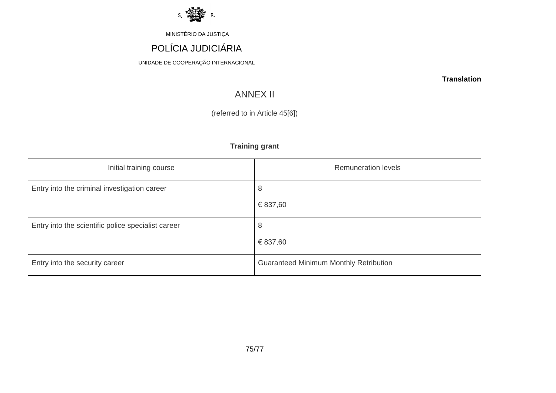

# POLÍCIA JUDICIÁRIA

UNIDADE DE COOPERAÇÃO INTERNACIONAL

**Translation**

# ANNEX II

(referred to in Article 45[6])

## **Training grant**

| Initial training course                            | <b>Remuneration levels</b>                    |
|----------------------------------------------------|-----------------------------------------------|
| Entry into the criminal investigation career       | 8                                             |
|                                                    | € 837,60                                      |
| Entry into the scientific police specialist career | 8                                             |
|                                                    | € 837,60                                      |
| Entry into the security career                     | <b>Guaranteed Minimum Monthly Retribution</b> |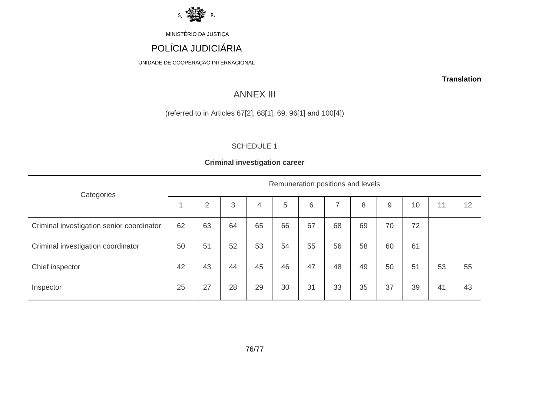

# POLÍCIA JUDICIÁRIA

UNIDADE DE COOPERAÇÃO INTERNACIONAL

**Translation**

## ANNEX III

(referred to in Articles 67[2], 68[1], 69, 96[1] and 100[4])

### SCHEDULE 1

### **Criminal investigation career**

| Categories                                | Remuneration positions and levels |                |    |    |    |    |    |    |       |    |    |    |
|-------------------------------------------|-----------------------------------|----------------|----|----|----|----|----|----|-------|----|----|----|
|                                           |                                   | $\overline{2}$ | 3  | 4  | 5  | 6  |    | 8  | $9\,$ | 10 | 11 | 12 |
| Criminal investigation senior coordinator | 62                                | 63             | 64 | 65 | 66 | 67 | 68 | 69 | 70    | 72 |    |    |
| Criminal investigation coordinator        | 50                                | 51             | 52 | 53 | 54 | 55 | 56 | 58 | 60    | 61 |    |    |
| Chief inspector                           | 42                                | 43             | 44 | 45 | 46 | 47 | 48 | 49 | 50    | 51 | 53 | 55 |
| Inspector                                 | 25                                | 27             | 28 | 29 | 30 | 31 | 33 | 35 | 37    | 39 | 41 | 43 |